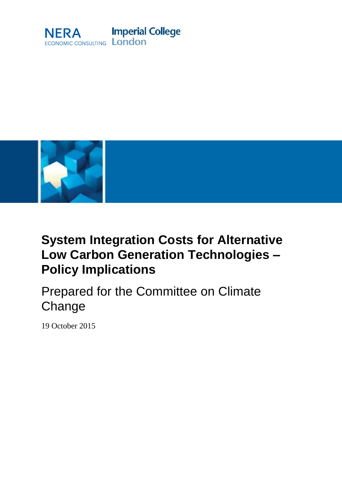



# **System Integration Costs for Alternative Low Carbon Generation Technologies – Policy Implications**

Prepared for the Committee on Climate **Change** 

19 October 2015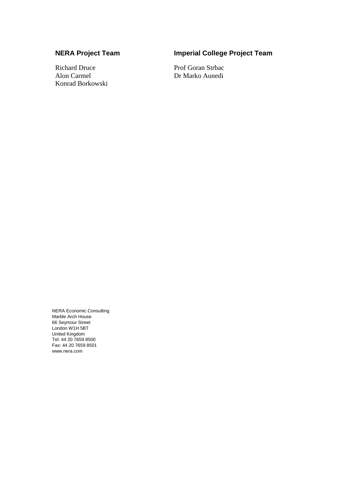# **NERA Project Team**

Richard Druce Alon Carmel Konrad Borkowski

# **Imperial College Project Team**

Prof Goran Strbac Dr Marko Aunedi

NERA Economic Consulting Marble Arch House 66 Seymour Street London W1H 5BT United Kingdom Tel: 44 20 7659 8500 Fax: 44 20 7659 8501 www.nera.com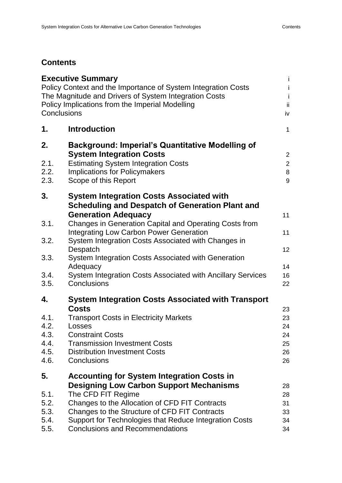# **Contents**

|      | <b>Executive Summary</b><br>Policy Context and the Importance of System Integration Costs<br>The Magnitude and Drivers of System Integration Costs<br>Policy Implications from the Imperial Modelling<br>Conclusions | j.<br>i<br>ii.<br>iv |
|------|----------------------------------------------------------------------------------------------------------------------------------------------------------------------------------------------------------------------|----------------------|
| 1.   | <b>Introduction</b>                                                                                                                                                                                                  | $\mathbf 1$          |
| 2.   | <b>Background: Imperial's Quantitative Modelling of</b>                                                                                                                                                              |                      |
|      | <b>System Integration Costs</b>                                                                                                                                                                                      | $\overline{2}$       |
| 2.1. | <b>Estimating System Integration Costs</b>                                                                                                                                                                           | $\overline{2}$       |
| 2.2. | <b>Implications for Policymakers</b>                                                                                                                                                                                 | 8                    |
| 2.3. | Scope of this Report                                                                                                                                                                                                 | 9                    |
| 3.   | <b>System Integration Costs Associated with</b>                                                                                                                                                                      |                      |
|      | <b>Scheduling and Despatch of Generation Plant and</b>                                                                                                                                                               |                      |
|      | <b>Generation Adequacy</b>                                                                                                                                                                                           | 11                   |
| 3.1. | Changes in Generation Capital and Operating Costs from                                                                                                                                                               |                      |
|      | <b>Integrating Low Carbon Power Generation</b>                                                                                                                                                                       | 11                   |
| 3.2. | System Integration Costs Associated with Changes in                                                                                                                                                                  |                      |
|      | Despatch                                                                                                                                                                                                             | 12 <sup>2</sup>      |
| 3.3. | System Integration Costs Associated with Generation                                                                                                                                                                  |                      |
|      | Adequacy                                                                                                                                                                                                             | 14                   |
| 3.4. | <b>System Integration Costs Associated with Ancillary Services</b>                                                                                                                                                   | 16                   |
| 3.5. | Conclusions                                                                                                                                                                                                          | 22                   |
| 4.   | <b>System Integration Costs Associated with Transport</b>                                                                                                                                                            |                      |
|      | <b>Costs</b>                                                                                                                                                                                                         | 23                   |
| 4.1. | <b>Transport Costs in Electricity Markets</b>                                                                                                                                                                        | 23                   |
| 4.2. | Losses                                                                                                                                                                                                               | 24                   |
| 4.3. | <b>Constraint Costs</b>                                                                                                                                                                                              | 24                   |
| 4.4. | <b>Transmission Investment Costs</b>                                                                                                                                                                                 | 25                   |
| 4.5. | <b>Distribution Investment Costs</b>                                                                                                                                                                                 | 26                   |
| 4.6. | Conclusions                                                                                                                                                                                                          | 26                   |
| 5.   | <b>Accounting for System Integration Costs in</b>                                                                                                                                                                    |                      |
|      | <b>Designing Low Carbon Support Mechanisms</b>                                                                                                                                                                       | 28                   |
| 5.1. | The CFD FIT Regime                                                                                                                                                                                                   | 28                   |
| 5.2. | Changes to the Allocation of CFD FIT Contracts                                                                                                                                                                       | 31                   |
| 5.3. | Changes to the Structure of CFD FIT Contracts                                                                                                                                                                        | 33                   |
| 5.4. | Support for Technologies that Reduce Integration Costs                                                                                                                                                               | 34                   |
| 5.5. | <b>Conclusions and Recommendations</b>                                                                                                                                                                               | 34                   |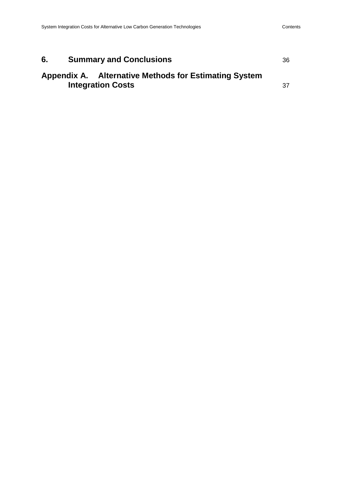| 6.                       | <b>Summary and Conclusions</b>                        |  |  |
|--------------------------|-------------------------------------------------------|--|--|
|                          | Appendix A. Alternative Methods for Estimating System |  |  |
| <b>Integration Costs</b> |                                                       |  |  |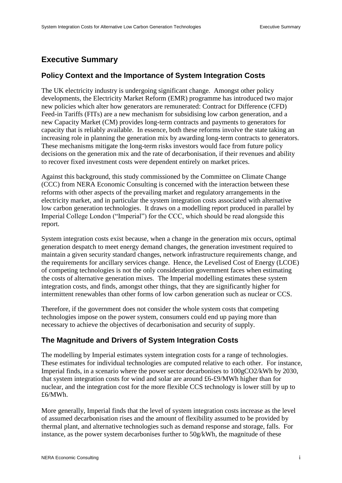# **Executive Summary**

## **Policy Context and the Importance of System Integration Costs**

The UK electricity industry is undergoing significant change. Amongst other policy developments, the Electricity Market Reform (EMR) programme has introduced two major new policies which alter how generators are remunerated: Contract for Difference (CFD) Feed-in Tariffs (FITs) are a new mechanism for subsidising low carbon generation, and a new Capacity Market (CM) provides long-term contracts and payments to generators for capacity that is reliably available. In essence, both these reforms involve the state taking an increasing role in planning the generation mix by awarding long-term contracts to generators. These mechanisms mitigate the long-term risks investors would face from future policy decisions on the generation mix and the rate of decarbonisation, if their revenues and ability to recover fixed investment costs were dependent entirely on market prices.

Against this background, this study commissioned by the Committee on Climate Change (CCC) from NERA Economic Consulting is concerned with the interaction between these reforms with other aspects of the prevailing market and regulatory arrangements in the electricity market, and in particular the system integration costs associated with alternative low carbon generation technologies. It draws on a modelling report produced in parallel by Imperial College London ("Imperial") for the CCC, which should be read alongside this report.

System integration costs exist because, when a change in the generation mix occurs, optimal generation despatch to meet energy demand changes, the generation investment required to maintain a given security standard changes, network infrastructure requirements change, and the requirements for ancillary services change. Hence, the Levelised Cost of Energy (LCOE) of competing technologies is not the only consideration government faces when estimating the costs of alternative generation mixes. The Imperial modelling estimates these system integration costs, and finds, amongst other things, that they are significantly higher for intermittent renewables than other forms of low carbon generation such as nuclear or CCS.

Therefore, if the government does not consider the whole system costs that competing technologies impose on the power system, consumers could end up paying more than necessary to achieve the objectives of decarbonisation and security of supply.

#### **The Magnitude and Drivers of System Integration Costs**

The modelling by Imperial estimates system integration costs for a range of technologies. These estimates for individual technologies are computed relative to each other. For instance, Imperial finds, in a scenario where the power sector decarbonises to 100gCO2/kWh by 2030, that system integration costs for wind and solar are around £6-£9/MWh higher than for nuclear, and the integration cost for the more flexible CCS technology is lower still by up to £6/MWh.

More generally, Imperial finds that the level of system integration costs increase as the level of assumed decarbonisation rises and the amount of flexibility assumed to be provided by thermal plant, and alternative technologies such as demand response and storage, falls. For instance, as the power system decarbonises further to 50g/kWh, the magnitude of these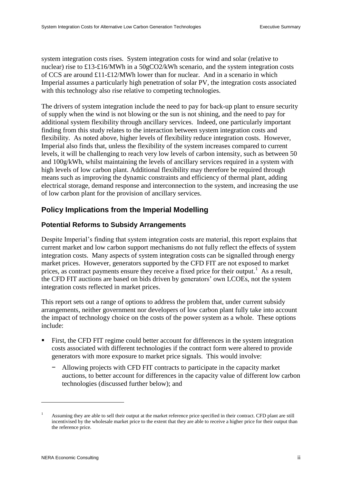system integration costs rises. System integration costs for wind and solar (relative to nuclear) rise to £13-£16/MWh in a 50gCO2/kWh scenario, and the system integration costs of CCS are around £11-£12/MWh lower than for nuclear. And in a scenario in which Imperial assumes a particularly high penetration of solar PV, the integration costs associated with this technology also rise relative to competing technologies.

The drivers of system integration include the need to pay for back-up plant to ensure security of supply when the wind is not blowing or the sun is not shining, and the need to pay for additional system flexibility through ancillary services. Indeed, one particularly important finding from this study relates to the interaction between system integration costs and flexibility. As noted above, higher levels of flexibility reduce integration costs. However, Imperial also finds that, unless the flexibility of the system increases compared to current levels, it will be challenging to reach very low levels of carbon intensity, such as between 50 and 100g/kWh, whilst maintaining the levels of ancillary services required in a system with high levels of low carbon plant. Additional flexibility may therefore be required through means such as improving the dynamic constraints and efficiency of thermal plant, adding electrical storage, demand response and interconnection to the system, and increasing the use of low carbon plant for the provision of ancillary services.

#### **Policy Implications from the Imperial Modelling**

#### **Potential Reforms to Subsidy Arrangements**

Despite Imperial's finding that system integration costs are material, this report explains that current market and low carbon support mechanisms do not fully reflect the effects of system integration costs. Many aspects of system integration costs can be signalled through energy market prices. However, generators supported by the CFD FIT are not exposed to market prices, as contract payments ensure they receive a fixed price for their output.<sup>1</sup> As a result, the CFD FIT auctions are based on bids driven by generators' own LCOEs, not the system integration costs reflected in market prices.

This report sets out a range of options to address the problem that, under current subsidy arrangements, neither government nor developers of low carbon plant fully take into account the impact of technology choice on the costs of the power system as a whole. These options include:

- First, the CFD FIT regime could better account for differences in the system integration costs associated with different technologies if the contract form were altered to provide generators with more exposure to market price signals. This would involve:
	- − Allowing projects with CFD FIT contracts to participate in the capacity market auctions, to better account for differences in the capacity value of different low carbon technologies (discussed further below); and

<sup>1</sup> Assuming they are able to sell their output at the market reference price specified in their contract. CFD plant are still incentivised by the wholesale market price to the extent that they are able to receive a higher price for their output than the reference price.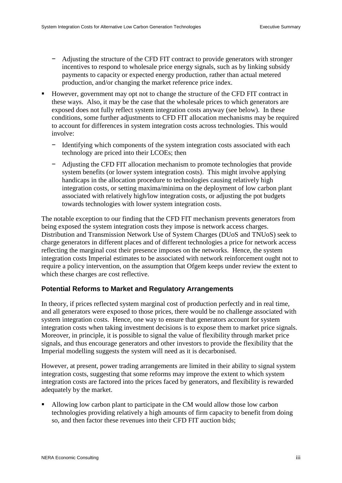- − Adjusting the structure of the CFD FIT contract to provide generators with stronger incentives to respond to wholesale price energy signals, such as by linking subsidy payments to capacity or expected energy production, rather than actual metered production, and/or changing the market reference price index.
- However, government may opt not to change the structure of the CFD FIT contract in these ways. Also, it may be the case that the wholesale prices to which generators are exposed does not fully reflect system integration costs anyway (see below). In these conditions, some further adjustments to CFD FIT allocation mechanisms may be required to account for differences in system integration costs across technologies. This would involve:
	- − Identifying which components of the system integration costs associated with each technology are priced into their LCOEs; then
	- − Adjusting the CFD FIT allocation mechanism to promote technologies that provide system benefits (or lower system integration costs). This might involve applying handicaps in the allocation procedure to technologies causing relatively high integration costs, or setting maxima/minima on the deployment of low carbon plant associated with relatively high/low integration costs, or adjusting the pot budgets towards technologies with lower system integration costs.

The notable exception to our finding that the CFD FIT mechanism prevents generators from being exposed the system integration costs they impose is network access charges. Distribution and Transmission Network Use of System Charges (DUoS and TNUoS) seek to charge generators in different places and of different technologies a price for network access reflecting the marginal cost their presence imposes on the networks. Hence, the system integration costs Imperial estimates to be associated with network reinforcement ought not to require a policy intervention, on the assumption that Ofgem keeps under review the extent to which these charges are cost reflective.

#### **Potential Reforms to Market and Regulatory Arrangements**

In theory, if prices reflected system marginal cost of production perfectly and in real time, and all generators were exposed to those prices, there would be no challenge associated with system integration costs. Hence, one way to ensure that generators account for system integration costs when taking investment decisions is to expose them to market price signals. Moreover, in principle, it is possible to signal the value of flexibility through market price signals, and thus encourage generators and other investors to provide the flexibility that the Imperial modelling suggests the system will need as it is decarbonised.

However, at present, power trading arrangements are limited in their ability to signal system integration costs, suggesting that some reforms may improve the extent to which system integration costs are factored into the prices faced by generators, and flexibility is rewarded adequately by the market.

 Allowing low carbon plant to participate in the CM would allow those low carbon technologies providing relatively a high amounts of firm capacity to benefit from doing so, and then factor these revenues into their CFD FIT auction bids;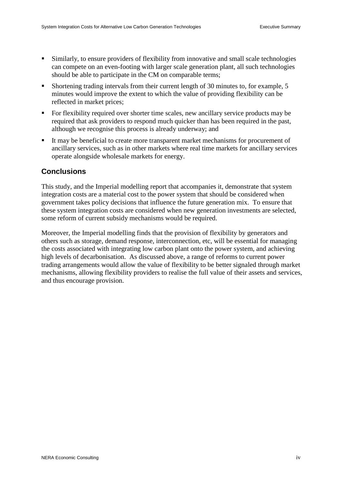- Similarly, to ensure providers of flexibility from innovative and small scale technologies can compete on an even-footing with larger scale generation plant, all such technologies should be able to participate in the CM on comparable terms;
- Shortening trading intervals from their current length of 30 minutes to, for example, 5 minutes would improve the extent to which the value of providing flexibility can be reflected in market prices;
- For flexibility required over shorter time scales, new ancillary service products may be required that ask providers to respond much quicker than has been required in the past, although we recognise this process is already underway; and
- It may be beneficial to create more transparent market mechanisms for procurement of ancillary services, such as in other markets where real time markets for ancillary services operate alongside wholesale markets for energy.

#### **Conclusions**

This study, and the Imperial modelling report that accompanies it, demonstrate that system integration costs are a material cost to the power system that should be considered when government takes policy decisions that influence the future generation mix. To ensure that these system integration costs are considered when new generation investments are selected, some reform of current subsidy mechanisms would be required.

Moreover, the Imperial modelling finds that the provision of flexibility by generators and others such as storage, demand response, interconnection, etc, will be essential for managing the costs associated with integrating low carbon plant onto the power system, and achieving high levels of decarbonisation. As discussed above, a range of reforms to current power trading arrangements would allow the value of flexibility to be better signaled through market mechanisms, allowing flexibility providers to realise the full value of their assets and services, and thus encourage provision.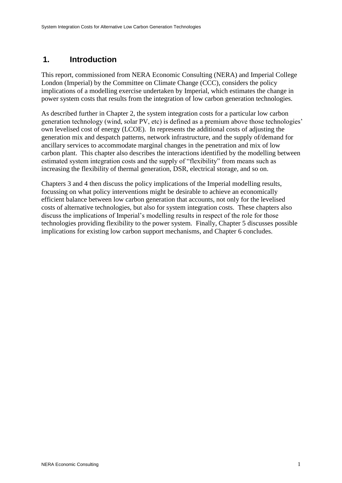# **1. Introduction**

This report, commissioned from NERA Economic Consulting (NERA) and Imperial College London (Imperial) by the Committee on Climate Change (CCC), considers the policy implications of a modelling exercise undertaken by Imperial, which estimates the change in power system costs that results from the integration of low carbon generation technologies.

As described further in Chapter [2,](#page-9-0) the system integration costs for a particular low carbon generation technology (wind, solar PV, etc) is defined as a premium above those technologies' own levelised cost of energy (LCOE). In represents the additional costs of adjusting the generation mix and despatch patterns, network infrastructure, and the supply of/demand for ancillary services to accommodate marginal changes in the penetration and mix of low carbon plant. This chapter also describes the interactions identified by the modelling between estimated system integration costs and the supply of "flexibility" from means such as increasing the flexibility of thermal generation, DSR, electrical storage, and so on.

Chapters [3](#page-18-0) and [4](#page-30-0) then discuss the policy implications of the Imperial modelling results, focussing on what policy interventions might be desirable to achieve an economically efficient balance between low carbon generation that accounts, not only for the levelised costs of alternative technologies, but also for system integration costs. These chapters also discuss the implications of Imperial's modelling results in respect of the role for those technologies providing flexibility to the power system. Finally, Chapter [5](#page-35-0) discusses possible implications for existing low carbon support mechanisms, and Chapter [6](#page-43-0) concludes.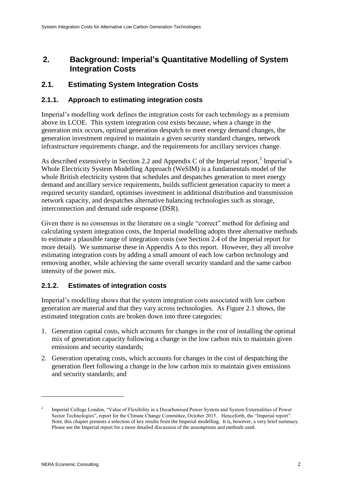# <span id="page-9-0"></span>**2. Background: Imperial's Quantitative Modelling of System Integration Costs**

# **2.1. Estimating System Integration Costs**

### **2.1.1. Approach to estimating integration costs**

Imperial's modelling work defines the integration costs for each technology as a premium above its LCOE. This system integration cost exists because, when a change in the generation mix occurs, optimal generation despatch to meet energy demand changes, the generation investment required to maintain a given security standard changes, network infrastructure requirements change, and the requirements for ancillary services change.

As described extensively in Section 2.2 and Appendix C of the Imperial report, $<sup>2</sup>$  Imperial's</sup> Whole Electricity System Modelling Approach (WeSIM) is a fundamentals model of the whole British electricity system that schedules and despatches generation to meet energy demand and ancillary service requirements, builds sufficient generation capacity to meet a required security standard, optimises investment in additional distribution and transmission network capacity, and despatches alternative balancing technologies such as storage, interconnection and demand side response (DSR).

Given there is no consensus in the literature on a single "correct" method for defining and calculating system integration costs, the Imperial modelling adopts three alternative methods to estimate a plausible range of integration costs (see Section 2.4 of the Imperial report for more detail). We summarise these in [Appendix A](#page-44-0) to this report. However, they all involve estimating integration costs by adding a small amount of each low carbon technology and removing another, while achieving the same overall security standard and the same carbon intensity of the power mix.

## <span id="page-9-1"></span>**2.1.2. Estimates of integration costs**

Imperial's modelling shows that the system integration costs associated with low carbon generation are material and that they vary across technologies. As [Figure 2.1](#page-10-0) shows, the estimated integration costs are broken down into three categories:

- 1. Generation capital costs, which accounts for changes in the cost of installing the optimal mix of generation capacity following a change in the low carbon mix to maintain given emissions and security standards;
- 2. Generation operating costs, which accounts for changes in the cost of despatching the generation fleet following a change in the low carbon mix to maintain given emissions and security standards; and

<sup>2</sup> Imperial College London, "Value of Flexibility in a Decarbonised Power System and System Externalities of Power Sector Technologies", report for the Climate Change Committee, October 2015.. Henceforth, the "Imperial report". Note, this chapter presents a selection of key results from the Imperial modelling. It is, however, a very brief summary. Please see the Imperial report for a more detailed discussion of the assumptions and methods used.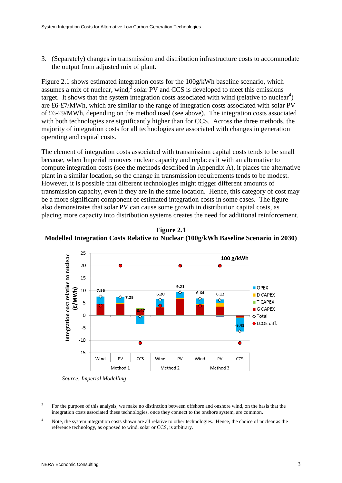3. (Separately) changes in transmission and distribution infrastructure costs to accommodate the output from adjusted mix of plant.

[Figure 2.1](#page-10-0) shows estimated integration costs for the 100g/kWh baseline scenario, which assumes a mix of nuclear, wind, $3$  solar PV and CCS is developed to meet this emissions target. It shows that the system integration costs associated with wind (relative to nuclear<sup>4</sup>) are £6-£7/MWh, which are similar to the range of integration costs associated with solar PV of £6-£9/MWh, depending on the method used (see above). The integration costs associated with both technologies are significantly higher than for CCS. Across the three methods, the majority of integration costs for all technologies are associated with changes in generation operating and capital costs.

The element of integration costs associated with transmission capital costs tends to be small because, when Imperial removes nuclear capacity and replaces it with an alternative to compute integration costs (see the methods described in [Appendix A\)](#page-44-0), it places the alternative plant in a similar location, so the change in transmission requirements tends to be modest. However, it is possible that different technologies might trigger different amounts of transmission capacity, even if they are in the same location. Hence, this category of cost may be a more significant component of estimated integration costs in some cases. The figure also demonstrates that solar PV can cause some growth in distribution capital costs, as placing more capacity into distribution systems creates the need for additional reinforcement.



<span id="page-10-0"></span>**Figure 2.1 Modelled Integration Costs Relative to Nuclear (100g/kWh Baseline Scenario in 2030)**

*Source: Imperial Modelling*

<sup>3</sup> For the purpose of this analysis, we make no distinction between offshore and onshore wind, on the basis that the integration costs associated these technologies, once they connect to the onshore system, are common.

<sup>&</sup>lt;sup>4</sup> Note, the system integration costs shown are all relative to other technologies. Hence, the choice of nuclear as the reference technology, as opposed to wind, solar or CCS, is arbitrary.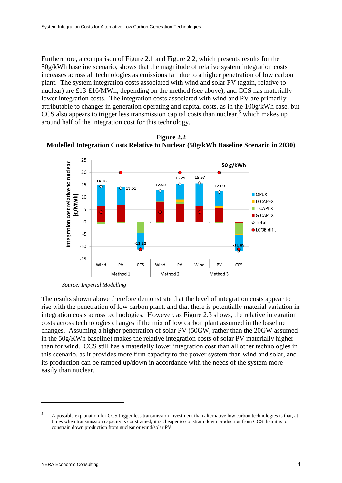Furthermore, a comparison of [Figure 2.1](#page-10-0) and [Figure 2.2,](#page-11-0) which presents results for the 50g/kWh baseline scenario, shows that the magnitude of relative system integration costs increases across all technologies as emissions fall due to a higher penetration of low carbon plant. The system integration costs associated with wind and solar PV (again, relative to nuclear) are £13-£16/MWh, depending on the method (see above), and CCS has materially lower integration costs. The integration costs associated with wind and PV are primarily attributable to changes in generation operating and capital costs, as in the 100g/kWh case, but CCS also appears to trigger less transmission capital costs than nuclear,<sup>5</sup> which makes up around half of the integration cost for this technology.

<span id="page-11-0"></span>



*Source: Imperial Modelling*

The results shown above therefore demonstrate that the level of integration costs appear to rise with the penetration of low carbon plant, and that there is potentially material variation in integration costs across technologies. However, as [Figure 2.3](#page-12-0) shows, the relative integration costs across technologies changes if the mix of low carbon plant assumed in the baseline changes. Assuming a higher penetration of solar PV (50GW, rather than the 20GW assumed in the 50g/KWh baseline) makes the relative integration costs of solar PV materially higher than for wind. CCS still has a materially lower integration cost than all other technologies in this scenario, as it provides more firm capacity to the power system than wind and solar, and its production can be ramped up/down in accordance with the needs of the system more easily than nuclear.

<sup>5</sup> A possible explanation for CCS trigger less transmission investment than alternative low carbon technologies is that, at times when transmission capacity is constrained, it is cheaper to constrain down production from CCS than it is to constrain down production from nuclear or wind/solar PV.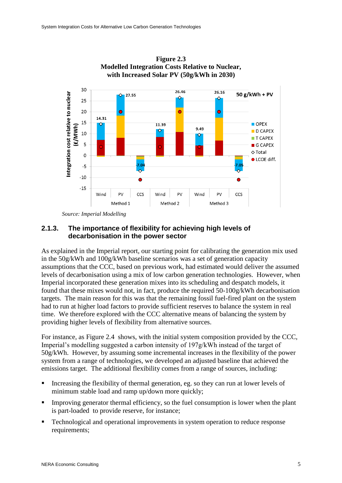<span id="page-12-0"></span>



*Source: Imperial Modelling*

#### **2.1.3. The importance of flexibility for achieving high levels of decarbonisation in the power sector**

As explained in the Imperial report, our starting point for calibrating the generation mix used in the 50g/kWh and 100g/kWh baseline scenarios was a set of generation capacity assumptions that the CCC, based on previous work, had estimated would deliver the assumed levels of decarbonisation using a mix of low carbon generation technologies. However, when Imperial incorporated these generation mixes into its scheduling and despatch models, it found that these mixes would not, in fact, produce the required 50-100g/kWh decarbonisation targets. The main reason for this was that the remaining fossil fuel-fired plant on the system had to run at higher load factors to provide sufficient reserves to balance the system in real time. We therefore explored with the CCC alternative means of balancing the system by providing higher levels of flexibility from alternative sources.

For instance, as [Figure 2.4](#page-13-0) shows, with the initial system composition provided by the CCC, Imperial's modelling suggested a carbon intensity of 197g/kWh instead of the target of 50g/kWh. However, by assuming some incremental increases in the flexibility of the power system from a range of technologies, we developed an adjusted baseline that achieved the emissions target. The additional flexibility comes from a range of sources, including:

- Increasing the flexibility of thermal generation, eg. so they can run at lower levels of minimum stable load and ramp up/down more quickly;
- Improving generator thermal efficiency, so the fuel consumption is lower when the plant is part-loaded to provide reserve, for instance;
- Technological and operational improvements in system operation to reduce response requirements;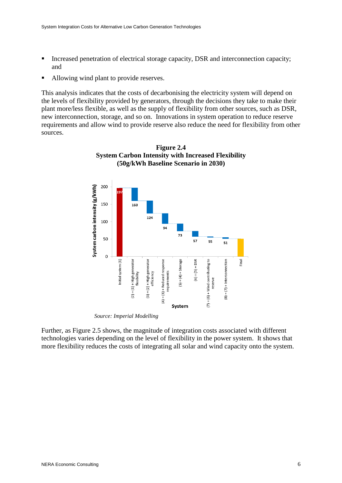- Increased penetration of electrical storage capacity, DSR and interconnection capacity; and
- Allowing wind plant to provide reserves.

<span id="page-13-0"></span>This analysis indicates that the costs of decarbonising the electricity system will depend on the levels of flexibility provided by generators, through the decisions they take to make their plant more/less flexible, as well as the supply of flexibility from other sources, such as DSR, new interconnection, storage, and so on. Innovations in system operation to reduce reserve requirements and allow wind to provide reserve also reduce the need for flexibility from other sources.



**Figure 2.4 System Carbon Intensity with Increased Flexibility (50g/kWh Baseline Scenario in 2030)**

*Source: Imperial Modelling*

Further, as [Figure 2.5](#page-14-0) shows, the magnitude of integration costs associated with different technologies varies depending on the level of flexibility in the power system. It shows that more flexibility reduces the costs of integrating all solar and wind capacity onto the system.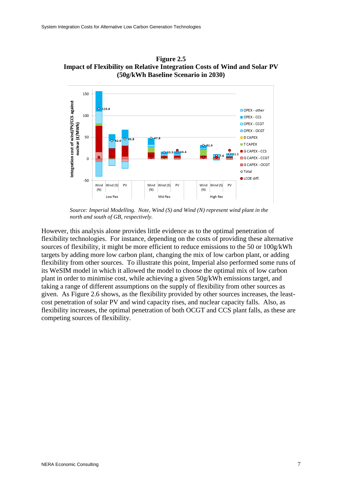

<span id="page-14-0"></span>**Figure 2.5 Impact of Flexibility on Relative Integration Costs of Wind and Solar PV (50g/kWh Baseline Scenario in 2030)**

*Source: Imperial Modelling. Note, Wind (S) and Wind (N) represent wind plant in the north and south of GB, respectively.* 

However, this analysis alone provides little evidence as to the optimal penetration of flexibility technologies. For instance, depending on the costs of providing these alternative sources of flexibility, it might be more efficient to reduce emissions to the 50 or 100g/kWh targets by adding more low carbon plant, changing the mix of low carbon plant, or adding flexibility from other sources. To illustrate this point, Imperial also performed some runs of its WeSIM model in which it allowed the model to choose the optimal mix of low carbon plant in order to minimise cost, while achieving a given 50g/kWh emissions target, and taking a range of different assumptions on the supply of flexibility from other sources as given. As [Figure 2.6](#page-15-0) shows, as the flexibility provided by other sources increases, the leastcost penetration of solar PV and wind capacity rises, and nuclear capacity falls. Also, as flexibility increases, the optimal penetration of both OCGT and CCS plant falls, as these are competing sources of flexibility.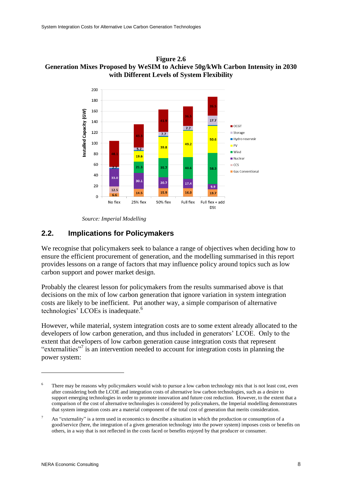<span id="page-15-0"></span>



*Source: Imperial Modelling*

#### **2.2. Implications for Policymakers**

We recognise that policymakers seek to balance a range of objectives when deciding how to ensure the efficient procurement of generation, and the modelling summarised in this report provides lessons on a range of factors that may influence policy around topics such as low carbon support and power market design.

Probably the clearest lesson for policymakers from the results summarised above is that decisions on the mix of low carbon generation that ignore variation in system integration costs are likely to be inefficient. Put another way, a simple comparison of alternative technologies' LCOEs is inadequate. 6

However, while material, system integration costs are to some extent already allocated to the developers of low carbon generation, and thus included in generators' LCOE. Only to the extent that developers of low carbon generation cause integration costs that represent "externalities"<sup>7</sup> is an intervention needed to account for integration costs in planning the power system:

There may be reasons why policymakers would wish to pursue a low carbon technology mix that is not least cost, even after considering both the LCOE and integration costs of alternative low carbon technologies, such as a desire to support emerging technologies in order to promote innovation and future cost reduction. However, to the extent that a comparison of the cost of alternative technologies is considered by policymakers, the Imperial modelling demonstrates that system integration costs are a material component of the total cost of generation that merits consideration.

<sup>&</sup>lt;sup>7</sup> An "externality" is a term used in economics to describe a situation in which the production or consumption of a good/service (here, the integration of a given generation technology into the power system) imposes costs or benefits on others, in a way that is not reflected in the costs faced or benefits enjoyed by that producer or consumer.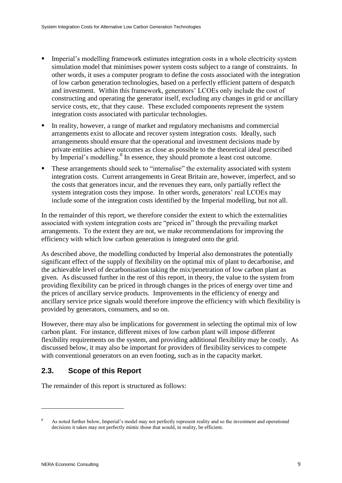- Imperial's modelling framework estimates integration costs in a whole electricity system simulation model that minimises power system costs subject to a range of constraints. In other words, it uses a computer program to define the costs associated with the integration of low carbon generation technologies, based on a perfectly efficient pattern of despatch and investment. Within this framework, generators' LCOEs only include the cost of constructing and operating the generator itself, excluding any changes in grid or ancillary service costs, etc, that they cause. These excluded components represent the system integration costs associated with particular technologies.
- In reality, however, a range of market and regulatory mechanisms and commercial arrangements exist to allocate and recover system integration costs. Ideally, such arrangements should ensure that the operational and investment decisions made by private entities achieve outcomes as close as possible to the theoretical ideal prescribed by Imperial's modelling.<sup>8</sup> In essence, they should promote a least cost outcome.
- These arrangements should seek to "internalise" the externality associated with system integration costs. Current arrangements in Great Britain are, however, imperfect, and so the costs that generators incur, and the revenues they earn, only partially reflect the system integration costs they impose. In other words, generators' real LCOEs may include some of the integration costs identified by the Imperial modelling, but not all.

In the remainder of this report, we therefore consider the extent to which the externalities associated with system integration costs are "priced in" through the prevailing market arrangements. To the extent they are not, we make recommendations for improving the efficiency with which low carbon generation is integrated onto the grid.

As described above, the modelling conducted by Imperial also demonstrates the potentially significant effect of the supply of flexibility on the optimal mix of plant to decarbonise, and the achievable level of decarbonisation taking the mix/penetration of low carbon plant as given. As discussed further in the rest of this report, in theory, the value to the system from providing flexibility can be priced in through changes in the prices of energy over time and the prices of ancillary service products. Improvements in the efficiency of energy and ancillary service price signals would therefore improve the efficiency with which flexibility is provided by generators, consumers, and so on.

However, there may also be implications for government in selecting the optimal mix of low carbon plant. For instance, different mixes of low carbon plant will impose different flexibility requirements on the system, and providing additional flexibility may be costly. As discussed below, it may also be important for providers of flexibility services to compete with conventional generators on an even footing, such as in the capacity market.

# **2.3. Scope of this Report**

The remainder of this report is structured as follows:

<sup>8</sup> As noted further below, Imperial's model may not perfectly represent reality and so the investment and operational decisions it takes may not perfectly mimic those that would, in reality, be efficient.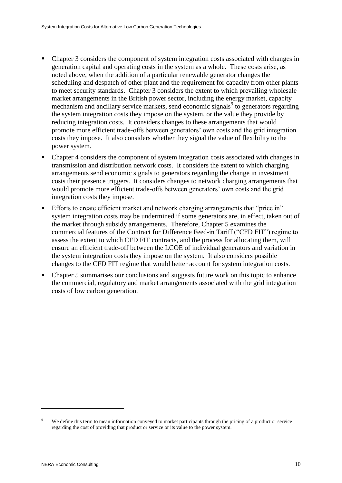- Chapter [3](#page-18-0) considers the component of system integration costs associated with changes in generation capital and operating costs in the system as a whole. These costs arise, as noted above, when the addition of a particular renewable generator changes the scheduling and despatch of other plant and the requirement for capacity from other plants to meet security standards. Chapter [3](#page-18-0) considers the extent to which prevailing wholesale market arrangements in the British power sector, including the energy market, capacity mechanism and ancillary service markets, send economic signals<sup>9</sup> to generators regarding the system integration costs they impose on the system, or the value they provide by reducing integration costs. It considers changes to these arrangements that would promote more efficient trade-offs between generators' own costs and the grid integration costs they impose. It also considers whether they signal the value of flexibility to the power system.
- Chapter [4](#page-30-0) considers the component of system integration costs associated with changes in transmission and distribution network costs. It considers the extent to which charging arrangements send economic signals to generators regarding the change in investment costs their presence triggers. It considers changes to network charging arrangements that would promote more efficient trade-offs between generators' own costs and the grid integration costs they impose.
- Efforts to create efficient market and network charging arrangements that "price in" system integration costs may be undermined if some generators are, in effect, taken out of the market through subsidy arrangements. Therefore, Chapter [5](#page-35-0) examines the commercial features of the Contract for Difference Feed-in Tariff ("CFD FIT") regime to assess the extent to which CFD FIT contracts, and the process for allocating them, will ensure an efficient trade-off between the LCOE of individual generators and variation in the system integration costs they impose on the system. It also considers possible changes to the CFD FIT regime that would better account for system integration costs.
- Chapter 5 summarises our conclusions and suggests future work on this topic to enhance the commercial, regulatory and market arrangements associated with the grid integration costs of low carbon generation.

We define this term to mean information conveyed to market participants through the pricing of a product or service regarding the cost of providing that product or service or its value to the power system.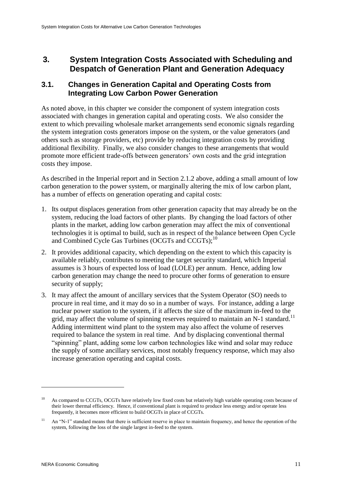# <span id="page-18-0"></span>**3. System Integration Costs Associated with Scheduling and Despatch of Generation Plant and Generation Adequacy**

## <span id="page-18-1"></span>**3.1. Changes in Generation Capital and Operating Costs from Integrating Low Carbon Power Generation**

As noted above, in this chapter we consider the component of system integration costs associated with changes in generation capital and operating costs. We also consider the extent to which prevailing wholesale market arrangements send economic signals regarding the system integration costs generators impose on the system, or the value generators (and others such as storage providers, etc) provide by reducing integration costs by providing additional flexibility. Finally, we also consider changes to these arrangements that would promote more efficient trade-offs between generators' own costs and the grid integration costs they impose.

As described in the Imperial report and in Section [2.1.2](#page-9-1) [above,](#page-9-1) adding a small amount of low carbon generation to the power system, or marginally altering the mix of low carbon plant, has a number of effects on generation operating and capital costs:

- 1. Its output displaces generation from other generation capacity that may already be on the system, reducing the load factors of other plants. By changing the load factors of other plants in the market, adding low carbon generation may affect the mix of conventional technologies it is optimal to build, such as in respect of the balance between Open Cycle and Combined Cycle Gas Turbines (OCGTs and CCGTs);<sup>10</sup>
- 2. It provides additional capacity, which depending on the extent to which this capacity is available reliably, contributes to meeting the target security standard, which Imperial assumes is 3 hours of expected loss of load (LOLE) per annum. Hence, adding low carbon generation may change the need to procure other forms of generation to ensure security of supply;
- 3. It may affect the amount of ancillary services that the System Operator (SO) needs to procure in real time, and it may do so in a number of ways. For instance, adding a large nuclear power station to the system, if it affects the size of the maximum in-feed to the grid, may affect the volume of spinning reserves required to maintain an N-1 standard.<sup>11</sup> Adding intermittent wind plant to the system may also affect the volume of reserves required to balance the system in real time. And by displacing conventional thermal "spinning" plant, adding some low carbon technologies like wind and solar may reduce the supply of some ancillary services, most notably frequency response, which may also increase generation operating and capital costs.

<sup>&</sup>lt;sup>10</sup> As compared to CCGTs, OCGTs have relatively low fixed costs but relatively high variable operating costs because of their lower thermal efficiency. Hence, if conventional plant is required to produce less energy and/or operate less frequently, it becomes more efficient to build OCGTs in place of CCGTs.

<sup>&</sup>lt;sup>11</sup> An "N-1" standard means that there is sufficient reserve in place to maintain frequency, and hence the operation of the system, following the loss of the single largest in-feed to the system.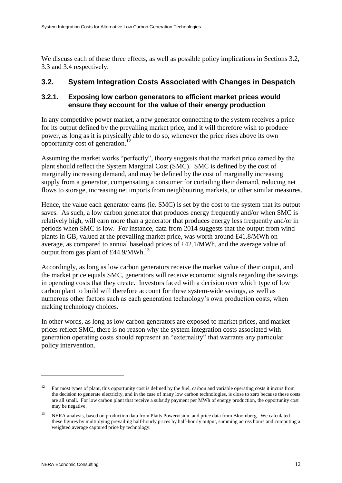We discuss each of these three effects, as well as possible policy implications in Sections [3.2,](#page-19-0) [3.3](#page-21-0) and [3.4](#page-23-0) respectively.

## <span id="page-19-0"></span>**3.2. System Integration Costs Associated with Changes in Despatch**

### **3.2.1. Exposing low carbon generators to efficient market prices would ensure they account for the value of their energy production**

In any competitive power market, a new generator connecting to the system receives a price for its output defined by the prevailing market price, and it will therefore wish to produce power, as long as it is physically able to do so, whenever the price rises above its own opportunity cost of generation.<sup>12</sup>

Assuming the market works "perfectly", theory suggests that the market price earned by the plant should reflect the System Marginal Cost (SMC). SMC is defined by the cost of marginally increasing demand, and may be defined by the cost of marginally increasing supply from a generator, compensating a consumer for curtailing their demand, reducing net flows to storage, increasing net imports from neighbouring markets, or other similar measures.

Hence, the value each generator earns (ie. SMC) is set by the cost to the system that its output saves. As such, a low carbon generator that produces energy frequently and/or when SMC is relatively high, will earn more than a generator that produces energy less frequently and/or in periods when SMC is low. For instance, data from 2014 suggests that the output from wind plants in GB, valued at the prevailing market price, was worth around £41.8/MWh on average, as compared to annual baseload prices of £42.1/MWh, and the average value of output from gas plant of  $\text{\pounds}44.9/\text{MWh}$ .<sup>13</sup>

Accordingly, as long as low carbon generators receive the market value of their output, and the market price equals SMC, generators will receive economic signals regarding the savings in operating costs that they create. Investors faced with a decision over which type of low carbon plant to build will therefore account for these system-wide savings, as well as numerous other factors such as each generation technology's own production costs, when making technology choices.

In other words, as long as low carbon generators are exposed to market prices, and market prices reflect SMC, there is no reason why the system integration costs associated with generation operating costs should represent an "externality" that warrants any particular policy intervention.

<sup>&</sup>lt;sup>12</sup> For most types of plant, this opportunity cost is defined by the fuel, carbon and variable operating costs it incurs from the decision to generate electricity, and in the case of many low carbon technologies, is close to zero because these costs are all small. For low carbon plant that receive a subsidy payment per MWh of energy production, the opportunity cost may be negative.

<sup>&</sup>lt;sup>13</sup> NERA analysis, based on production data from Platts Powervision, and price data from Bloomberg. We calculated these figures by multiplying prevailing half-hourly prices by half-hourly output, summing across hours and computing a weighted average captured price by technology.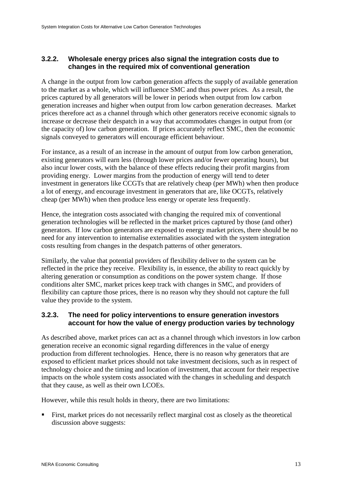#### **3.2.2. Wholesale energy prices also signal the integration costs due to changes in the required mix of conventional generation**

A change in the output from low carbon generation affects the supply of available generation to the market as a whole, which will influence SMC and thus power prices. As a result, the prices captured by all generators will be lower in periods when output from low carbon generation increases and higher when output from low carbon generation decreases. Market prices therefore act as a channel through which other generators receive economic signals to increase or decrease their despatch in a way that accommodates changes in output from (or the capacity of) low carbon generation. If prices accurately reflect SMC, then the economic signals conveyed to generators will encourage efficient behaviour.

For instance, as a result of an increase in the amount of output from low carbon generation, existing generators will earn less (through lower prices and/or fewer operating hours), but also incur lower costs, with the balance of these effects reducing their profit margins from providing energy. Lower margins from the production of energy will tend to deter investment in generators like CCGTs that are relatively cheap (per MWh) when then produce a lot of energy, and encourage investment in generators that are, like OCGTs, relatively cheap (per MWh) when then produce less energy or operate less frequently.

Hence, the integration costs associated with changing the required mix of conventional generation technologies will be reflected in the market prices captured by those (and other) generators. If low carbon generators are exposed to energy market prices, there should be no need for any intervention to internalise externalities associated with the system integration costs resulting from changes in the despatch patterns of other generators.

Similarly, the value that potential providers of flexibility deliver to the system can be reflected in the price they receive. Flexibility is, in essence, the ability to react quickly by altering generation or consumption as conditions on the power system change. If those conditions alter SMC, market prices keep track with changes in SMC, and providers of flexibility can capture those prices, there is no reason why they should not capture the full value they provide to the system.

#### **3.2.3. The need for policy interventions to ensure generation investors account for how the value of energy production varies by technology**

As described above, market prices can act as a channel through which investors in low carbon generation receive an economic signal regarding differences in the value of energy production from different technologies. Hence, there is no reason why generators that are exposed to efficient market prices should not take investment decisions, such as in respect of technology choice and the timing and location of investment, that account for their respective impacts on the whole system costs associated with the changes in scheduling and despatch that they cause, as well as their own LCOEs.

However, while this result holds in theory, there are two limitations:

First, market prices do not necessarily reflect marginal cost as closely as the theoretical discussion above suggests: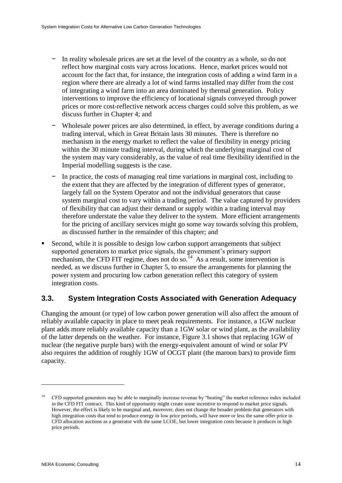- In reality wholesale prices are set at the level of the country as a whole, so do not reflect how marginal costs vary across locations. Hence, market prices would not account for the fact that, for instance, the integration costs of adding a wind farm in a region where there are already a lot of wind farms installed may differ from the cost of integrating a wind farm into an area dominated by thermal generation. Policy interventions to improve the efficiency of locational signals conveyed through power prices or more cost-reflective network access charges could solve this problem, as we discuss further in Chapter [4;](#page-30-0) and
- − Wholesale power prices are also determined, in effect, by average conditions during a trading interval, which in Great Britain lasts 30 minutes. There is therefore no mechanism in the energy market to reflect the value of flexibility in energy pricing within the 30 minute trading interval, during which the underlying marginal cost of the system may vary considerably, as the value of real time flexibility identified in the Imperial modelling suggests is the case.
- − In practice, the costs of managing real time variations in marginal cost, including to the extent that they are affected by the integration of different types of generator, largely fall on the System Operator and not the individual generators that cause system marginal cost to vary within a trading period. The value captured by providers of flexibility that can adjust their demand or supply within a trading interval may therefore understate the value they deliver to the system. More efficient arrangements for the pricing of ancillary services might go some way towards solving this problem, as discussed further in the remainder of this chapter; and
- Second, while it is possible to design low carbon support arrangements that subject supported generators to market price signals, the government's primary support mechanism, the CFD FIT regime, does not do so.<sup>14</sup> As a result, some intervention is needed, as we discuss further in Chapter [5,](#page-35-0) to ensure the arrangements for planning the power system and procuring low carbon generation reflect this category of system integration costs.

#### <span id="page-21-0"></span>**3.3. System Integration Costs Associated with Generation Adequacy**

Changing the amount (or type) of low carbon power generation will also affect the amount of reliably available capacity in place to meet peak requirements. For instance, a 1GW nuclear plant adds more reliably available capacity than a 1GW solar or wind plant, as the availability of the latter depends on the weather. For instance, [Figure 3.1](#page-22-0) shows that replacing 1GW of nuclear (the negative purple bars) with the energy-equivalent amount of wind or solar PV also requires the addition of roughly 1GW of OCGT plant (the maroon bars) to provide firm capacity.

<sup>14</sup> CFD supported generators may be able to marginally increase revenue by "beating" the market reference index included in the CFD FIT contract. This kind of opportunity might create some incentive to respond to market price signals. However, the effect is likely to be marginal and, moreover, does not change the broader problem that generators with high integration costs that tend to produce energy in low price periods, will have more or less the same offer price in CFD allocation auctions as a generator with the same LCOE, but lower integration costs because it produces in high price periods.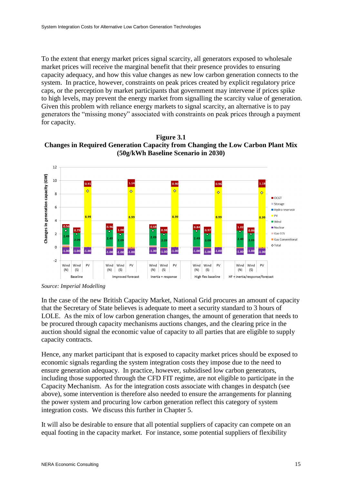To the extent that energy market prices signal scarcity, all generators exposed to wholesale market prices will receive the marginal benefit that their presence provides to ensuring capacity adequacy, and how this value changes as new low carbon generation connects to the system. In practice, however, constraints on peak prices created by explicit regulatory price caps, or the perception by market participants that government may intervene if prices spike to high levels, may prevent the energy market from signalling the scarcity value of generation. Given this problem with reliance energy markets to signal scarcity, an alternative is to pay generators the "missing money" associated with constraints on peak prices through a payment for capacity.



<span id="page-22-0"></span>**Figure 3.1 Changes in Required Generation Capacity from Changing the Low Carbon Plant Mix (50g/kWh Baseline Scenario in 2030)**

*Source: Imperial Modelling*

Baseline

Improved forecast

In the case of the new British Capacity Market, National Grid procures an amount of capacity that the Secretary of State believes is adequate to meet a security standard to 3 hours of LOLE. As the mix of low carbon generation changes, the amount of generation that needs to be procured through capacity mechanisms auctions changes, and the clearing price in the auction should signal the economic value of capacity to all parties that are eligible to supply capacity contracts.

Inertia + response

High flex baseline

HF + inertia/response/forecast

Hence, any market participant that is exposed to capacity market prices should be exposed to economic signals regarding the system integration costs they impose due to the need to ensure generation adequacy. In practice, however, subsidised low carbon generators, including those supported through the CFD FIT regime, are not eligible to participate in the Capacity Mechanism. As for the integration costs associate with changes in despatch (see above), some intervention is therefore also needed to ensure the arrangements for planning the power system and procuring low carbon generation reflect this category of system integration costs. We discuss this further in Chapter [5.](#page-35-0)

It will also be desirable to ensure that all potential suppliers of capacity can compete on an equal footing in the capacity market. For instance, some potential suppliers of flexibility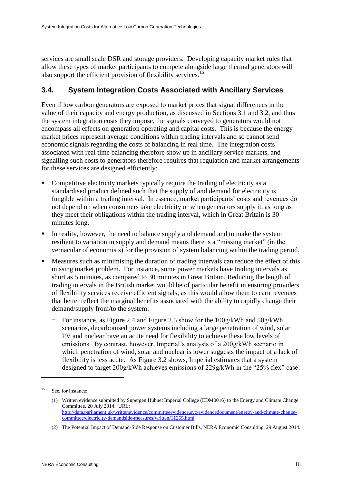services are small scale DSR and storage providers. Developing capacity market rules that allow these types of market participants to compete alongside large thermal generators will also support the efficient provision of flexibility services.<sup>15</sup>

# <span id="page-23-0"></span>**3.4. System Integration Costs Associated with Ancillary Services**

Even if low carbon generators are exposed to market prices that signal differences in the value of their capacity and energy production, as discussed in Sections [3.1](#page-18-1) and [3.2,](#page-19-0) and thus the system integration costs they impose, the signals conveyed to generators would not encompass all effects on generation operating and capital costs. This is because the energy market prices represent average conditions within trading intervals and so cannot send economic signals regarding the costs of balancing in real time. The integration costs associated with real time balancing therefore show up in ancillary service markets, and signalling such costs to generators therefore requires that regulation and market arrangements for these services are designed efficiently:

- Competitive electricity markets typically require the trading of electricity as a standardised product defined such that the supply of and demand for electricity is fungible within a trading interval. In essence, market participants' costs and revenues do not depend on when consumers take electricity or when generators supply it, as long as they meet their obligations within the trading interval, which in Great Britain is 30 minutes long.
- In reality, however, the need to balance supply and demand and to make the system resilient to variation in supply and demand means there is a "missing market" (in the vernacular of economists) for the provision of system balancing within the trading period.
- Measures such as minimising the duration of trading intervals can reduce the effect of this missing market problem. For instance, some power markets have trading intervals as short as 5 minutes, as compared to 30 minutes in Great Britain. Reducing the length of trading intervals in the British market would be of particular benefit in ensuring providers of flexibility services receive efficient signals, as this would allow them to earn revenues that better reflect the marginal benefits associated with the ability to rapidly change their demand/supply from/to the system:
	- For instance, as [Figure 2.4](#page-13-0) and [Figure 2.5](#page-14-0) show for the  $100g/kWh$  and  $50g/kWh$ scenarios, decarbonised power systems including a large penetration of wind, solar PV and nuclear have an acute need for flexibility to achieve these low levels of emissions. By contrast, however, Imperial's analysis of a 200g/kWh scenario in which penetration of wind, solar and nuclear is lower suggests the impact of a lack of flexibility is less acute. As [Figure 3.2](#page-24-0) shows, Imperial estimates that a system designed to target 200g/kWh achieves emissions of 229g/kWh in the "25% flex" case.

<sup>&</sup>lt;sup>15</sup> See, for instance:

<sup>(1)</sup> Written evidence submitted by Supergen Hubnet Imperial College (EDM0016) to the Energy and Climate Change Committee, 20 July 2014. URL: [http://data.parliament.uk/writtenevidence/committeeevidence.svc/evidencedocument/energy-and-climate-change](http://data.parliament.uk/writtenevidence/committeeevidence.svc/evidencedocument/energy-and-climate-change-committee/electricity-demandside-measures/written/11265.html)[committee/electricity-demandside-measures/written/11265.html](http://data.parliament.uk/writtenevidence/committeeevidence.svc/evidencedocument/energy-and-climate-change-committee/electricity-demandside-measures/written/11265.html)

<sup>(2)</sup> The Potential Impact of Demand-Side Response on Customer Bills, NERA Economic Consulting, 29 August 2014.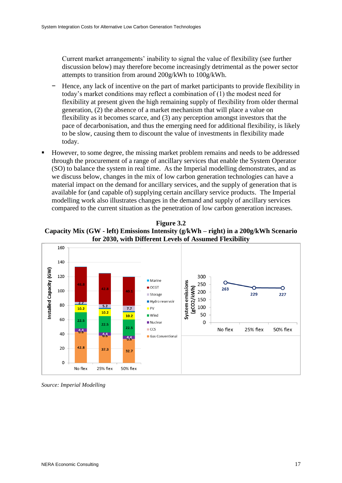Current market arrangements' inability to signal the value of flexibility (see further discussion below) may therefore become increasingly detrimental as the power sector attempts to transition from around 200g/kWh to 100g/kWh.

- Hence, any lack of incentive on the part of market participants to provide flexibility in today's market conditions may reflect a combination of (1) the modest need for flexibility at present given the high remaining supply of flexibility from older thermal generation, (2) the absence of a market mechanism that will place a value on flexibility as it becomes scarce, and (3) any perception amongst investors that the pace of decarbonisation, and thus the emerging need for additional flexibility, is likely to be slow, causing them to discount the value of investments in flexibility made today.
- However, to some degree, the missing market problem remains and needs to be addressed through the procurement of a range of ancillary services that enable the System Operator (SO) to balance the system in real time. As the Imperial modelling demonstrates, and as we discuss below, changes in the mix of low carbon generation technologies can have a material impact on the demand for ancillary services, and the supply of generation that is available for (and capable of) supplying certain ancillary service products. The Imperial modelling work also illustrates changes in the demand and supply of ancillary services compared to the current situation as the penetration of low carbon generation increases.

<span id="page-24-0"></span>



*Source: Imperial Modelling*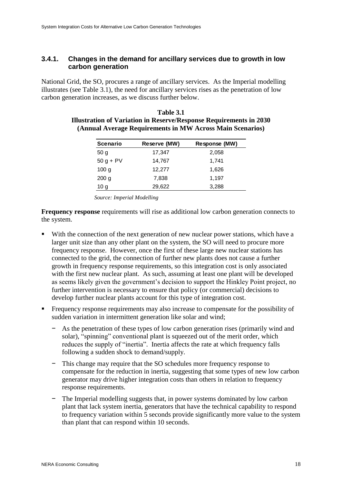#### **3.4.1. Changes in the demand for ancillary services due to growth in low carbon generation**

<span id="page-25-0"></span>National Grid, the SO, procures a range of ancillary services. As the Imperial modelling illustrates (see [Table 3.1\)](#page-25-0), the need for ancillary services rises as the penetration of low carbon generation increases, as we discuss further below.

| Table 3.1                                                          |
|--------------------------------------------------------------------|
| Illustration of Variation in Reserve/Response Requirements in 2030 |
| (Annual Average Requirements in MW Across Main Scenarios)          |

| <b>Scenario</b>  | Reserve (MW) | Response (MW) |
|------------------|--------------|---------------|
| 50 <sub>q</sub>  | 17,347       | 2,058         |
| $50 g + PV$      | 14,767       | 1,741         |
| 100 <sub>g</sub> | 12,277       | 1,626         |
| 200 <sub>g</sub> | 7,838        | 1,197         |
| 10 <sub>g</sub>  | 29,622       | 3,288         |

*Source: Imperial Modelling*

**Frequency response** requirements will rise as additional low carbon generation connects to the system.

- With the connection of the next generation of new nuclear power stations, which have a larger unit size than any other plant on the system, the SO will need to procure more frequency response. However, once the first of these large new nuclear stations has connected to the grid, the connection of further new plants does not cause a further growth in frequency response requirements, so this integration cost is only associated with the first new nuclear plant. As such, assuming at least one plant will be developed as seems likely given the government's decision to support the Hinkley Point project, no further intervention is necessary to ensure that policy (or commercial) decisions to develop further nuclear plants account for this type of integration cost.
- Frequency response requirements may also increase to compensate for the possibility of sudden variation in intermittent generation like solar and wind;
	- As the penetration of these types of low carbon generation rises (primarily wind and solar), "spinning" conventional plant is squeezed out of the merit order, which reduces the supply of "inertia". Inertia affects the rate at which frequency falls following a sudden shock to demand/supply.
	- − This change may require that the SO schedules more frequency response to compensate for the reduction in inertia, suggesting that some types of new low carbon generator may drive higher integration costs than others in relation to frequency response requirements.
	- The Imperial modelling suggests that, in power systems dominated by low carbon plant that lack system inertia, generators that have the technical capability to respond to frequency variation within 5 seconds provide significantly more value to the system than plant that can respond within 10 seconds.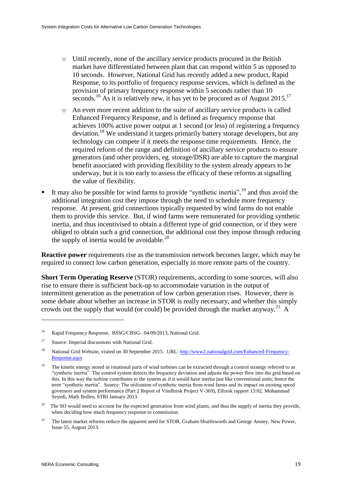- o Until recently, none of the ancillary service products procured in the British market have differentiated between plant that can respond within 5 as opposed to 10 seconds. However, National Grid has recently added a new product, Rapid Response, to its portfolio of frequency response services, which is defined as the provision of primary frequency response within 5 seconds rather than 10 seconds.<sup>16</sup> As it is relatively new, it has yet to be procured as of August 2015.<sup>17</sup>
- o An even more recent addition to the suite of ancillary service products is called Enhanced Frequency Response, and is defined as frequency response that achieves 100% active power output at 1 second (or less) of registering a frequency deviation.<sup>18</sup> We understand it targets primarily battery storage developers, but any technology can compete if it meets the response time requirements. Hence, the required reform of the range and definition of ancillary service products to ensure generators (and other providers, eg. storage/DSR) are able to capture the marginal benefit associated with providing flexibility to the system already appears to be underway, but it is too early to assess the efficacy of these reforms at signalling the value of flexibility.
- It may also be possible for wind farms to provide "synthetic inertia",<sup>19</sup> and thus avoid the additional integration cost they impose through the need to schedule more frequency response. At present, grid connections typically requested by wind farms do not enable them to provide this service. But, if wind farms were remunerated for providing synthetic inertia, and thus incentivised to obtain a different type of grid connection, or if they were obliged to obtain such a grid connection, the additional cost they impose through reducing the supply of inertia would be avoidable.<sup>20</sup>

**Reactive power** requirements rise as the transmission network becomes larger, which may be required to connect low carbon generation, especially in more remote parts of the country.

**Short Term Operating Reserve** *(STOR)* requirements, according to some sources, will also rise to ensure there is sufficient back-up to accommodate variation in the output of intermittent generation as the penetration of low carbon generation rises. However, there is some debate about whether an increase in STOR is really necessary, and whether this simply crowds out the supply that would (or could) be provided through the market anyway.<sup>21</sup> A

<sup>16</sup> Rapid Frequency Response, BSSG/CBSG– 04/09/2013, National Grid.

<sup>&</sup>lt;sup>17</sup> Source: Imperial discussions with National Grid.

<sup>&</sup>lt;sup>18</sup> National Grid Website, visited on 30 September 2015. URL: [http://www2.nationalgrid.com/Enhanced-Frequency-](http://www2.nationalgrid.com/Enhanced-Frequency-Response.aspx)[Response.aspx](http://www2.nationalgrid.com/Enhanced-Frequency-Response.aspx)

<sup>&</sup>lt;sup>19</sup> The kinetic energy stored in rotational parts of wind turbines can be extracted through a control strategy referred to as "synthetic inertia". The control system detects the frequency deviation and adjusts the power flow into the grid based on this. In this way the turbine contributes to the system as if it would have inertia just like conventional units; hence the term "synthetic inertia". Source: The utilization of synthetic inertia from wind farms and its impact on existing speed governors and system performance (Part 2 Report of Vindforsk Project V-369), Elforsk rapport 13:02, Mohammad Seyedi, Math Bollen, STRI January 2013.

<sup>&</sup>lt;sup>20</sup> The SO would need to account for the expected generation from wind plants, and thus the supply of inertia they provide, when deciding how much frequency response to commission.

<sup>&</sup>lt;sup>21</sup> The latest market reforms reduce the apparent need for STOR, Graham Shuttleworth and George Anstey, New Power, Issue 55, August 2013.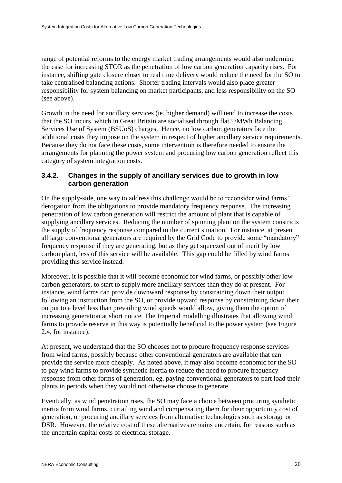range of potential reforms to the energy market trading arrangements would also undermine the case for increasing STOR as the penetration of low carbon generation capacity rises. For instance, shifting gate closure closer to real time delivery would reduce the need for the SO to take centralised balancing actions. Shorter trading intervals would also place greater responsibility for system balancing on market participants, and less responsibility on the SO (see above).

Growth in the need for ancillary services (ie. higher demand) will tend to increase the costs that the SO incurs, which in Great Britain are socialised through flat £/MWh Balancing Services Use of System (BSUoS) charges. Hence, no low carbon generators face the additional costs they impose on the system in respect of higher ancillary service requirements. Because they do not face these costs, some intervention is therefore needed to ensure the arrangements for planning the power system and procuring low carbon generation reflect this category of system integration costs.

#### **3.4.2. Changes in the supply of ancillary services due to growth in low carbon generation**

On the supply-side, one way to address this challenge would be to reconsider wind farms' derogation from the obligations to provide mandatory frequency response. The increasing penetration of low carbon generation will restrict the amount of plant that is capable of supplying ancillary services. Reducing the number of spinning plant on the system constricts the supply of frequency response compared to the current situation. For instance, at present all large conventional generators are required by the Grid Code to provide some "mandatory" frequency response if they are generating, but as they get squeezed out of merit by low carbon plant, less of this service will be available. This gap could be filled by wind farms providing this service instead.

Moreover, it is possible that it will become economic for wind farms, or possibly other low carbon generators, to start to supply more ancillary services than they do at present. For instance, wind farms can provide downward response by constraining down their output following an instruction from the SO, or provide upward response by constraining down their output to a level less than prevailing wind speeds would allow, giving them the option of increasing generation at short notice. The Imperial modelling illustrates that allowing wind farms to provide reserve in this way is potentially beneficial to the power system (see [Figure](#page-13-0)  [2.4,](#page-13-0) for instance).

At present, we understand that the SO chooses not to procure frequency response services from wind farms, possibly because other conventional generators are available that can provide the service more cheaply. As noted above, it may also become economic for the SO to pay wind farms to provide synthetic inertia to reduce the need to procure frequency response from other forms of generation, eg. paying conventional generators to part load their plants in periods when they would not otherwise choose to generate.

Eventually, as wind penetration rises, the SO may face a choice between procuring synthetic inertia from wind farms, curtailing wind and compensating them for their opportunity cost of generation, or procuring ancillary services from alternative technologies such as storage or DSR. However, the relative cost of these alternatives remains uncertain, for reasons such as the uncertain capital costs of electrical storage.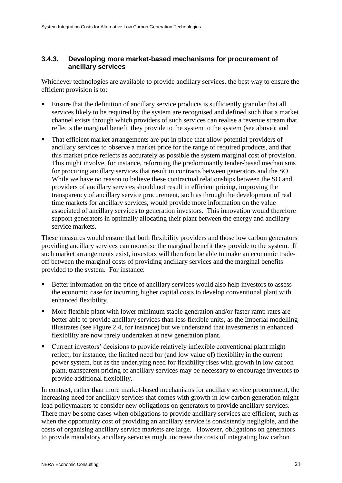#### **3.4.3. Developing more market-based mechanisms for procurement of ancillary services**

Whichever technologies are available to provide ancillary services, the best way to ensure the efficient provision is to:

- Ensure that the definition of ancillary service products is sufficiently granular that all services likely to be required by the system are recognised and defined such that a market channel exists through which providers of such services can realise a revenue stream that reflects the marginal benefit they provide to the system to the system (see above); and
- That efficient market arrangements are put in place that allow potential providers of ancillary services to observe a market price for the range of required products, and that this market price reflects as accurately as possible the system marginal cost of provision. This might involve, for instance, reforming the predominantly tender-based mechanisms for procuring ancillary services that result in contracts between generators and the SO. While we have no reason to believe these contractual relationships between the SO and providers of ancillary services should not result in efficient pricing, improving the transparency of ancillary service procurement, such as through the development of real time markets for ancillary services, would provide more information on the value associated of ancillary services to generation investors. This innovation would therefore support generators in optimally allocating their plant between the energy and ancillary service markets.

These measures would ensure that both flexibility providers and those low carbon generators providing ancillary services can monetise the marginal benefit they provide to the system. If such market arrangements exist, investors will therefore be able to make an economic tradeoff between the marginal costs of providing ancillary services and the marginal benefits provided to the system. For instance:

- Better information on the price of ancillary services would also help investors to assess the economic case for incurring higher capital costs to develop conventional plant with enhanced flexibility.
- More flexible plant with lower minimum stable generation and/or faster ramp rates are better able to provide ancillary services than less flexible units, as the Imperial modelling illustrates (see [Figure 2.4,](#page-13-0) for instance) but we understand that investments in enhanced flexibility are now rarely undertaken at new generation plant.
- Current investors' decisions to provide relatively inflexible conventional plant might reflect, for instance, the limited need for (and low value of) flexibility in the current power system, but as the underlying need for flexibility rises with growth in low carbon plant, transparent pricing of ancillary services may be necessary to encourage investors to provide additional flexibility.

In contrast, rather than more market-based mechanisms for ancillary service procurement, the increasing need for ancillary services that comes with growth in low carbon generation might lead policymakers to consider new obligations on generators to provide ancillary services. There may be some cases when obligations to provide ancillary services are efficient, such as when the opportunity cost of providing an ancillary service is consistently negligible, and the costs of organising ancillary service markets are large. However, obligations on generators to provide mandatory ancillary services might increase the costs of integrating low carbon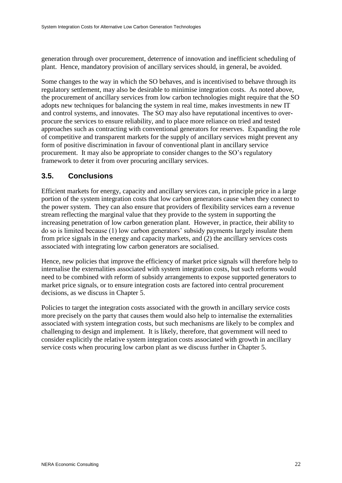generation through over procurement, deterrence of innovation and inefficient scheduling of plant. Hence, mandatory provision of ancillary services should, in general, be avoided.

Some changes to the way in which the SO behaves, and is incentivised to behave through its regulatory settlement, may also be desirable to minimise integration costs. As noted above, the procurement of ancillary services from low carbon technologies might require that the SO adopts new techniques for balancing the system in real time, makes investments in new IT and control systems, and innovates. The SO may also have reputational incentives to overprocure the services to ensure reliability, and to place more reliance on tried and tested approaches such as contracting with conventional generators for reserves. Expanding the role of competitive and transparent markets for the supply of ancillary services might prevent any form of positive discrimination in favour of conventional plant in ancillary service procurement. It may also be appropriate to consider changes to the SO's regulatory framework to deter it from over procuring ancillary services.

#### **3.5. Conclusions**

Efficient markets for energy, capacity and ancillary services can, in principle price in a large portion of the system integration costs that low carbon generators cause when they connect to the power system. They can also ensure that providers of flexibility services earn a revenue stream reflecting the marginal value that they provide to the system in supporting the increasing penetration of low carbon generation plant. However, in practice, their ability to do so is limited because (1) low carbon generators' subsidy payments largely insulate them from price signals in the energy and capacity markets, and (2) the ancillary services costs associated with integrating low carbon generators are socialised.

Hence, new policies that improve the efficiency of market price signals will therefore help to internalise the externalities associated with system integration costs, but such reforms would need to be combined with reform of subsidy arrangements to expose supported generators to market price signals, or to ensure integration costs are factored into central procurement decisions, as we discuss in Chapter [5.](#page-35-0)

Policies to target the integration costs associated with the growth in ancillary service costs more precisely on the party that causes them would also help to internalise the externalities associated with system integration costs, but such mechanisms are likely to be complex and challenging to design and implement. It is likely, therefore, that government will need to consider explicitly the relative system integration costs associated with growth in ancillary service costs when procuring low carbon plant as we discuss further in Chapter [5.](#page-35-0)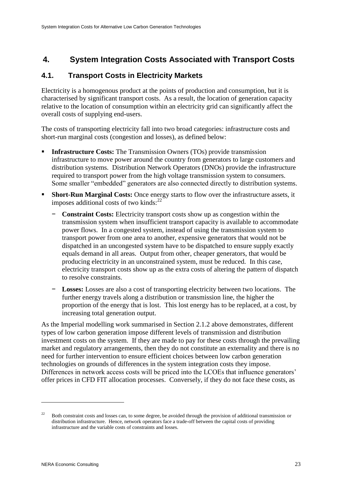# <span id="page-30-0"></span>**4. System Integration Costs Associated with Transport Costs**

## **4.1. Transport Costs in Electricity Markets**

Electricity is a homogenous product at the points of production and consumption, but it is characterised by significant transport costs. As a result, the location of generation capacity relative to the location of consumption within an electricity grid can significantly affect the overall costs of supplying end-users.

The costs of transporting electricity fall into two broad categories: infrastructure costs and short-run marginal costs (congestion and losses), as defined below:

- **Infrastructure Costs:** The Transmission Owners (TOs) provide transmission infrastructure to move power around the country from generators to large customers and distribution systems. Distribution Network Operators (DNOs) provide the infrastructure required to transport power from the high voltage transmission system to consumers. Some smaller "embedded" generators are also connected directly to distribution systems.
- **Short-Run Marginal Costs:** Once energy starts to flow over the infrastructure assets, it imposes additional costs of two kinds:<sup>22</sup>
	- − **Constraint Costs:** Electricity transport costs show up as congestion within the transmission system when insufficient transport capacity is available to accommodate power flows. In a congested system, instead of using the transmission system to transport power from one area to another, expensive generators that would not be dispatched in an uncongested system have to be dispatched to ensure supply exactly equals demand in all areas. Output from other, cheaper generators, that would be producing electricity in an unconstrained system, must be reduced. In this case, electricity transport costs show up as the extra costs of altering the pattern of dispatch to resolve constraints.
	- − **Losses:** Losses are also a cost of transporting electricity between two locations. The further energy travels along a distribution or transmission line, the higher the proportion of the energy that is lost. This lost energy has to be replaced, at a cost, by increasing total generation output.

As the Imperial modelling work summarised in Section [2.1.2](#page-9-1) [above](#page-9-1) demonstrates, different types of low carbon generation impose different levels of transmission and distribution investment costs on the system. If they are made to pay for these costs through the prevailing market and regulatory arrangements, then they do not constitute an externality and there is no need for further intervention to ensure efficient choices between low carbon generation technologies on grounds of differences in the system integration costs they impose. Differences in network access costs will be priced into the LCOEs that influence generators' offer prices in CFD FIT allocation processes. Conversely, if they do not face these costs, as

<sup>22</sup> Both constraint costs and losses can, to some degree, be avoided through the provision of additional transmission or distribution infrastructure. Hence, network operators face a trade-off between the capital costs of providing infrastructure and the variable costs of constraints and losses.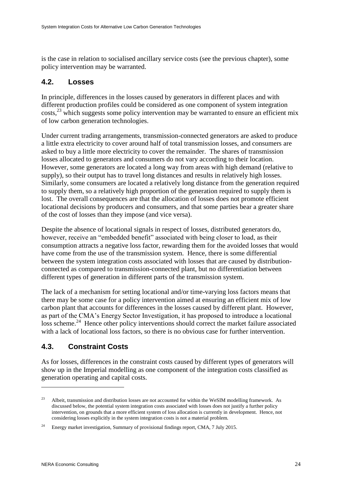is the case in relation to socialised ancillary service costs (see the previous chapter), some policy intervention may be warranted.

## **4.2. Losses**

In principle, differences in the losses caused by generators in different places and with different production profiles could be considered as one component of system integration costs,<sup>23</sup> which suggests some policy intervention may be warranted to ensure an efficient mix of low carbon generation technologies.

Under current trading arrangements, transmission-connected generators are asked to produce a little extra electricity to cover around half of total transmission losses, and consumers are asked to buy a little more electricity to cover the remainder. The shares of transmission losses allocated to generators and consumers do not vary according to their location. However, some generators are located a long way from areas with high demand (relative to supply), so their output has to travel long distances and results in relatively high losses. Similarly, some consumers are located a relatively long distance from the generation required to supply them, so a relatively high proportion of the generation required to supply them is lost. The overall consequences are that the allocation of losses does not promote efficient locational decisions by producers and consumers, and that some parties bear a greater share of the cost of losses than they impose (and vice versa).

Despite the absence of locational signals in respect of losses, distributed generators do, however, receive an "embedded benefit" associated with being closer to load, as their consumption attracts a negative loss factor, rewarding them for the avoided losses that would have come from the use of the transmission system. Hence, there is some differential between the system integration costs associated with losses that are caused by distributionconnected as compared to transmission-connected plant, but no differentiation between different types of generation in different parts of the transmission system.

The lack of a mechanism for setting locational and/or time-varying loss factors means that there may be some case for a policy intervention aimed at ensuring an efficient mix of low carbon plant that accounts for differences in the losses caused by different plant. However, as part of the CMA's Energy Sector Investigation, it has proposed to introduce a locational loss scheme.<sup>24</sup> Hence other policy interventions should correct the market failure associated with a lack of locational loss factors, so there is no obvious case for further intervention.

# **4.3. Constraint Costs**

As for losses, differences in the constraint costs caused by different types of generators will show up in the Imperial modelling as one component of the integration costs classified as generation operating and capital costs.

<sup>&</sup>lt;sup>23</sup> Albeit, transmission and distribution losses are not accounted for within the WeSIM modelling framework. As discussed below, the potential system integration costs associated with losses does not justify a further policy intervention, on grounds that a more efficient system of loss allocation is currently in development. Hence, not considering losses explicitly in the system integration costs is not a material problem.

<sup>&</sup>lt;sup>24</sup> Energy market investigation, Summary of provisional findings report, CMA, 7 July 2015.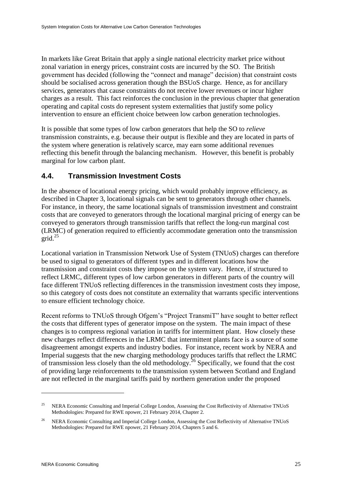In markets like Great Britain that apply a single national electricity market price without zonal variation in energy prices, constraint costs are incurred by the SO. The British government has decided (following the "connect and manage" decision) that constraint costs should be socialised across generation though the BSUoS charge. Hence, as for ancillary services, generators that cause constraints do not receive lower revenues or incur higher charges as a result. This fact reinforces the conclusion in the previous chapter that generation operating and capital costs do represent system externalities that justify some policy intervention to ensure an efficient choice between low carbon generation technologies.

It is possible that some types of low carbon generators that help the SO to *relieve* transmission constraints, e.g. because their output is flexible and they are located in parts of the system where generation is relatively scarce, may earn some additional revenues reflecting this benefit through the balancing mechanism. However, this benefit is probably marginal for low carbon plant.

# **4.4. Transmission Investment Costs**

In the absence of locational energy pricing, which would probably improve efficiency, as described in Chapter [3,](#page-18-0) locational signals can be sent to generators through other channels. For instance, in theory, the same locational signals of transmission investment and constraint costs that are conveyed to generators through the locational marginal pricing of energy can be conveyed to generators through transmission tariffs that reflect the long-run marginal cost (LRMC) of generation required to efficiently accommodate generation onto the transmission  $\text{grid.}^{25}$ 

Locational variation in Transmission Network Use of System (TNUoS) charges can therefore be used to signal to generators of different types and in different locations how the transmission and constraint costs they impose on the system vary. Hence, if structured to reflect LRMC, different types of low carbon generators in different parts of the country will face different TNUoS reflecting differences in the transmission investment costs they impose, so this category of costs does not constitute an externality that warrants specific interventions to ensure efficient technology choice.

Recent reforms to TNUoS through Ofgem's "Project TransmiT" have sought to better reflect the costs that different types of generator impose on the system. The main impact of these changes is to compress regional variation in tariffs for intermittent plant. How closely these new charges reflect differences in the LRMC that intermittent plants face is a source of some disagreement amongst experts and industry bodies. For instance, recent work by NERA and Imperial suggests that the new charging methodology produces tariffs that reflect the LRMC of transmission less closely than the old methodology.<sup>26</sup> Specifically, we found that the cost of providing large reinforcements to the transmission system between Scotland and England are not reflected in the marginal tariffs paid by northern generation under the proposed

<sup>&</sup>lt;sup>25</sup> NERA Economic Consulting and Imperial College London, Assessing the Cost Reflectivity of Alternative TNUoS Methodologies: Prepared for RWE npower, 21 February 2014, Chapter 2.

<sup>26</sup> NERA Economic Consulting and Imperial College London, Assessing the Cost Reflectivity of Alternative TNUoS Methodologies: Prepared for RWE npower, 21 February 2014, Chapters 5 and 6.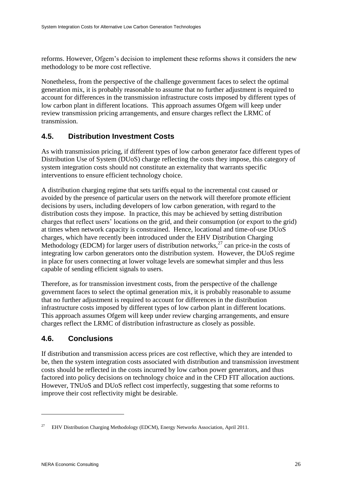reforms. However, Ofgem's decision to implement these reforms shows it considers the new methodology to be more cost reflective.

Nonetheless, from the perspective of the challenge government faces to select the optimal generation mix, it is probably reasonable to assume that no further adjustment is required to account for differences in the transmission infrastructure costs imposed by different types of low carbon plant in different locations. This approach assumes Ofgem will keep under review transmission pricing arrangements, and ensure charges reflect the LRMC of transmission.

# **4.5. Distribution Investment Costs**

As with transmission pricing, if different types of low carbon generator face different types of Distribution Use of System (DUoS) charge reflecting the costs they impose, this category of system integration costs should not constitute an externality that warrants specific interventions to ensure efficient technology choice.

A distribution charging regime that sets tariffs equal to the incremental cost caused or avoided by the presence of particular users on the network will therefore promote efficient decisions by users, including developers of low carbon generation, with regard to the distribution costs they impose. In practice, this may be achieved by setting distribution charges that reflect users' locations on the grid, and their consumption (or export to the grid) at times when network capacity is constrained. Hence, locational and time-of-use DUoS charges, which have recently been introduced under the EHV Distribution Charging Methodology (EDCM) for larger users of distribution networks,  $27$  can price-in the costs of integrating low carbon generators onto the distribution system. However, the DUoS regime in place for users connecting at lower voltage levels are somewhat simpler and thus less capable of sending efficient signals to users.

Therefore, as for transmission investment costs, from the perspective of the challenge government faces to select the optimal generation mix, it is probably reasonable to assume that no further adjustment is required to account for differences in the distribution infrastructure costs imposed by different types of low carbon plant in different locations. This approach assumes Ofgem will keep under review charging arrangements, and ensure charges reflect the LRMC of distribution infrastructure as closely as possible.

# **4.6. Conclusions**

If distribution and transmission access prices are cost reflective, which they are intended to be, then the system integration costs associated with distribution and transmission investment costs should be reflected in the costs incurred by low carbon power generators, and thus factored into policy decisions on technology choice and in the CFD FIT allocation auctions. However, TNUoS and DUoS reflect cost imperfectly, suggesting that some reforms to improve their cost reflectivity might be desirable.

<sup>&</sup>lt;sup>27</sup> EHV Distribution Charging Methodology (EDCM), Energy Networks Association, April 2011.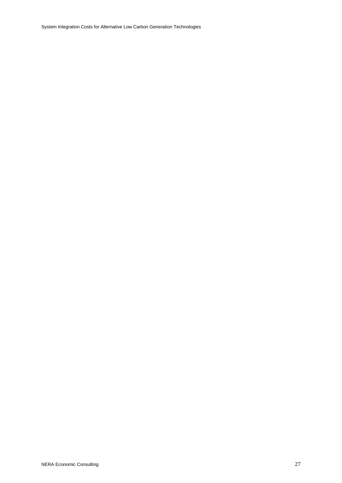System Integration Costs for Alternative Low Carbon Generation Technologies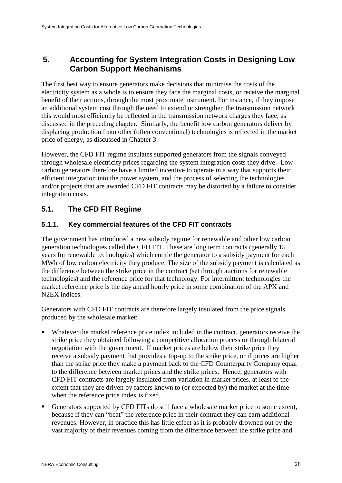# <span id="page-35-0"></span>**5. Accounting for System Integration Costs in Designing Low Carbon Support Mechanisms**

The first best way to ensure generators make decisions that minimise the costs of the electricity system as a whole is to ensure they face the marginal costs, or receive the marginal benefit of their actions, through the most proximate instrument. For instance, if they impose an additional system cost through the need to extend or strengthen the transmission network this would most efficiently be reflected in the transmission network charges they face, as discussed in the preceding chapter. Similarly, the benefit low carbon generators deliver by displacing production from other (often conventional) technologies is reflected in the market price of energy, as discussed in Chapter [3.](#page-18-0)

However, the CFD FIT regime insulates supported generators from the signals conveyed through wholesale electricity prices regarding the system integration costs they drive. Low carbon generators therefore have a limited incentive to operate in a way that supports their efficient integration into the power system, and the process of selecting the technologies and/or projects that are awarded CFD FIT contracts may be distorted by a failure to consider integration costs.

# **5.1. The CFD FIT Regime**

#### **5.1.1. Key commercial features of the CFD FIT contracts**

The government has introduced a new subsidy regime for renewable and other low carbon generation technologies called the CFD FIT. These are long term contracts (generally 15 years for renewable technologies) which entitle the generator to a subsidy payment for each MWh of low carbon electricity they produce. The size of the subsidy payment is calculated as the difference between the strike price in the contract (set through auctions for renewable technologies) and the reference price for that technology. For intermittent technologies the market reference price is the day ahead hourly price in some combination of the APX and N2EX indices.

Generators with CFD FIT contracts are therefore largely insulated from the price signals produced by the wholesale market:

- Whatever the market reference price index included in the contract, generators receive the strike price they obtained following a competitive allocation process or through bilateral negotiation with the government. If market prices are below their strike price they receive a subsidy payment that provides a top-up to the strike price, or if prices are higher than the strike price they make a payment back to the CFD Counterparty Company equal to the difference between market prices and the strike prices. Hence, generators with CFD FIT contracts are largely insulated from variation in market prices, at least to the extent that they are driven by factors known to (or expected by) the market at the time when the reference price index is fixed.
- Generators supported by CFD FITs do still face a wholesale market price to some extent, because if they can "beat" the reference price in their contract they can earn additional revenues. However, in practice this has little effect as it is probably drowned out by the vast majority of their revenues coming from the difference between the strike price and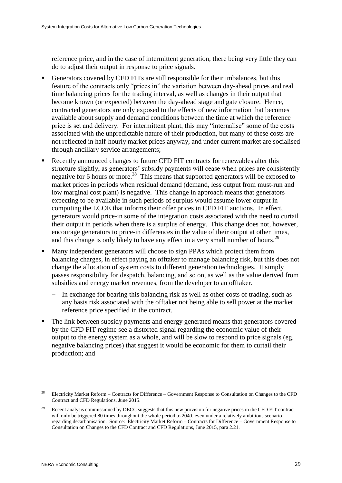reference price, and in the case of intermittent generation, there being very little they can do to adjust their output in response to price signals.

- Generators covered by CFD FITs are still responsible for their imbalances, but this feature of the contracts only "prices in" the variation between day-ahead prices and real time balancing prices for the trading interval, as well as changes in their output that become known (or expected) between the day-ahead stage and gate closure. Hence, contracted generators are only exposed to the effects of new information that becomes available about supply and demand conditions between the time at which the reference price is set and delivery. For intermittent plant, this may "internalise" some of the costs associated with the unpredictable nature of their production, but many of these costs are not reflected in half-hourly market prices anyway, and under current market are socialised through ancillary service arrangements;
- Recently announced changes to future CFD FIT contracts for renewables alter this structure slightly, as generators' subsidy payments will cease when prices are consistently negative for 6 hours or more. 28 This means that supported generators will be exposed to market prices in periods when residual demand (demand, less output from must-run and low marginal cost plant) is negative. This change in approach means that generators expecting to be available in such periods of surplus would assume lower output in computing the LCOE that informs their offer prices in CFD FIT auctions. In effect, generators would price-in some of the integration costs associated with the need to curtail their output in periods when there is a surplus of energy. This change does not, however, encourage generators to price-in differences in the value of their output at other times, and this change is only likely to have any effect in a very small number of hours.<sup>29</sup>
- Many independent generators will choose to sign PPAs which protect them from balancing charges, in effect paying an offtaker to manage balancing risk, but this does not change the allocation of system costs to different generation technologies. It simply passes responsibility for despatch, balancing, and so on, as well as the value derived from subsidies and energy market revenues, from the developer to an offtaker.
	- In exchange for bearing this balancing risk as well as other costs of trading, such as any basis risk associated with the offtaker not being able to sell power at the market reference price specified in the contract.
- The link between subsidy payments and energy generated means that generators covered by the CFD FIT regime see a distorted signal regarding the economic value of their output to the energy system as a whole, and will be slow to respond to price signals (eg. negative balancing prices) that suggest it would be economic for them to curtail their production; and

<sup>&</sup>lt;sup>28</sup> Electricity Market Reform – Contracts for Difference – Government Response to Consultation on Changes to the CFD Contract and CFD Regulations, June 2015.

<sup>&</sup>lt;sup>29</sup> Recent analysis commissioned by DECC suggests that this new provision for negative prices in the CFD FIT contract will only be triggered 80 times throughout the whole period to 2040, even under a relatively ambitious scenario regarding decarbonisation. Source: Electricity Market Reform – Contracts for Difference – Government Response to Consultation on Changes to the CFD Contract and CFD Regulations, June 2015, para 2.21.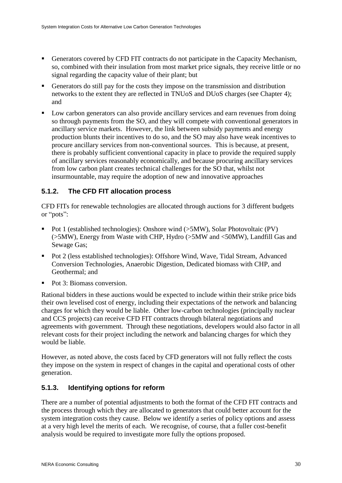- Generators covered by CFD FIT contracts do not participate in the Capacity Mechanism, so, combined with their insulation from most market price signals, they receive little or no signal regarding the capacity value of their plant; but
- Generators do still pay for the costs they impose on the transmission and distribution networks to the extent they are reflected in TNUoS and DUoS charges (see Chapter [4\)](#page-30-0); and
- **Low carbon generators can also provide ancillary services and earn revenues from doing** so through payments from the SO, and they will compete with conventional generators in ancillary service markets. However, the link between subsidy payments and energy production blunts their incentives to do so, and the SO may also have weak incentives to procure ancillary services from non-conventional sources. This is because, at present, there is probably sufficient conventional capacity in place to provide the required supply of ancillary services reasonably economically, and because procuring ancillary services from low carbon plant creates technical challenges for the SO that, whilst not insurmountable, may require the adoption of new and innovative approaches

## **5.1.2. The CFD FIT allocation process**

CFD FITs for renewable technologies are allocated through auctions for 3 different budgets or "pots":

- Pot 1 (established technologies): Onshore wind ( $>5MW$ ), Solar Photovoltaic (PV) (>5MW), Energy from Waste with CHP, Hydro (>5MW and <50MW), Landfill Gas and Sewage Gas;
- Pot 2 (less established technologies): Offshore Wind, Wave, Tidal Stream, Advanced Conversion Technologies, Anaerobic Digestion, Dedicated biomass with CHP, and Geothermal; and
- Pot 3: Biomass conversion.

Rational bidders in these auctions would be expected to include within their strike price bids their own levelised cost of energy, including their expectations of the network and balancing charges for which they would be liable. Other low-carbon technologies (principally nuclear and CCS projects) can receive CFD FIT contracts through bilateral negotiations and agreements with government. Through these negotiations, developers would also factor in all relevant costs for their project including the network and balancing charges for which they would be liable.

However, as noted above, the costs faced by CFD generators will not fully reflect the costs they impose on the system in respect of changes in the capital and operational costs of other generation.

## **5.1.3. Identifying options for reform**

There are a number of potential adjustments to both the format of the CFD FIT contracts and the process through which they are allocated to generators that could better account for the system integration costs they cause. Below we identify a series of policy options and assess at a very high level the merits of each. We recognise, of course, that a fuller cost-benefit analysis would be required to investigate more fully the options proposed.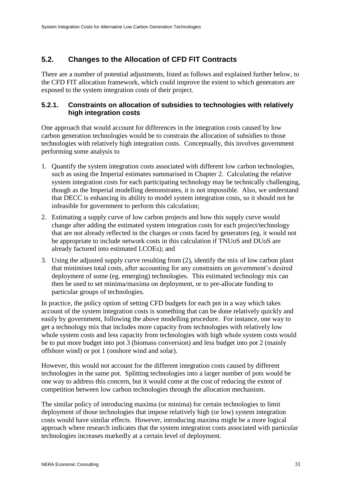# **5.2. Changes to the Allocation of CFD FIT Contracts**

There are a number of potential adjustments, listed as follows and explained further below, to the CFD FIT allocation framework, which could improve the extent to which generators are exposed to the system integration costs of their project.

#### **5.2.1. Constraints on allocation of subsidies to technologies with relatively high integration costs**

One approach that would account for differences in the integration costs caused by low carbon generation technologies would be to constrain the allocation of subsidies to those technologies with relatively high integration costs. Conceptually, this involves government performing some analysis to

- 1. Quantify the system integration costs associated with different low carbon technologies, such as using the Imperial estimates summarised in Chapter [2.](#page-9-0) Calculating the relative system integration costs for each participating technology may be technically challenging, though as the Imperial modelling demonstrates, it is not impossible. Also, we understand that DECC is enhancing its ability to model system integration costs, so it should not be infeasible for government to perform this calculation;
- 2. Estimating a supply curve of low carbon projects and how this supply curve would change after adding the estimated system integration costs for each project/technology that are not already reflected in the charges or costs faced by generators (eg. it would not be appropriate to include network costs in this calculation if TNUoS and DUoS are already factored into estimated LCOEs); and
- 3. Using the adjusted supply curve resulting from (2), identify the mix of low carbon plant that minimises total costs, after accounting for any constraints on government's desired deployment of some (eg. emerging) technologies. This estimated technology mix can then be used to set minima/maxima on deployment, or to pre-allocate funding to particular groups of technologies.

In practice, the policy option of setting CFD budgets for each pot in a way which takes account of the system integration costs is something that can be done relatively quickly and easily by government, following the above modelling procedure. For instance, one way to get a technology mix that includes more capacity from technologies with relatively low whole system costs and less capacity from technologies with high whole system costs would be to put more budget into pot 3 (biomass conversion) and less budget into pot 2 (mainly offshore wind) or pot 1 (onshore wind and solar).

However, this would not account for the different integration costs caused by different technologies in the same pot. Splitting technologies into a larger number of pots would be one way to address this concern, but it would come at the cost of reducing the extent of competition between low carbon technologies through the allocation mechanism.

The similar policy of introducing maxima (or minima) for certain technologies to limit deployment of those technologies that impose relatively high (or low) system integration costs would have similar effects. However, introducing maxima might be a more logical approach where research indicates that the system integration costs associated with particular technologies increases markedly at a certain level of deployment.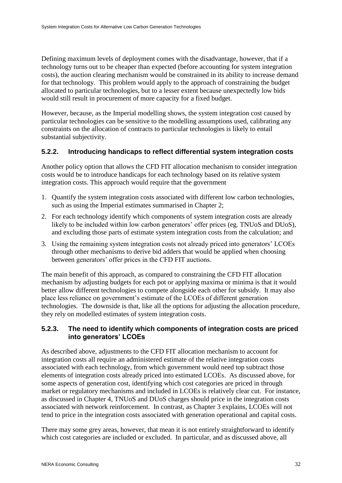Defining maximum levels of deployment comes with the disadvantage, however, that if a technology turns out to be cheaper than expected (before accounting for system integration costs), the auction clearing mechanism would be constrained in its ability to increase demand for that technology. This problem would apply to the approach of constraining the budget allocated to particular technologies, but to a lesser extent because unexpectedly low bids would still result in procurement of more capacity for a fixed budget.

However, because, as the Imperial modelling shows, the system integration cost caused by particular technologies can be sensitive to the modelling assumptions used, calibrating any constraints on the allocation of contracts to particular technologies is likely to entail substantial subjectivity.

#### **5.2.2. Introducing handicaps to reflect differential system integration costs**

Another policy option that allows the CFD FIT allocation mechanism to consider integration costs would be to introduce handicaps for each technology based on its relative system integration costs. This approach would require that the government

- 1. Quantify the system integration costs associated with different low carbon technologies, such as using the Imperial estimates summarised in Chapter [2;](#page-9-0)
- 2. For each technology identify which components of system integration costs are already likely to be included within low carbon generators' offer prices (eg. TNUoS and DUoS), and excluding those parts of estimate system integration costs from the calculation; and
- 3. Using the remaining system integration costs not already priced into generators' LCOEs through other mechanisms to derive bid adders that would be applied when choosing between generators' offer prices in the CFD FIT auctions.

The main benefit of this approach, as compared to constraining the CFD FIT allocation mechanism by adjusting budgets for each pot or applying maxima or minima is that it would better allow different technologies to compete alongside each other for subsidy. It may also place less reliance on government's estimate of the LCOEs of different generation technologies. The downside is that, like all the options for adjusting the allocation procedure, they rely on modelled estimates of system integration costs.

#### **5.2.3. The need to identify which components of integration costs are priced into generators' LCOEs**

As described above, adjustments to the CFD FIT allocation mechanism to account for integration costs all require an administered estimate of the relative integration costs associated with each technology, from which government would need top subtract those elements of integration costs already priced into estimated LCOEs. As discussed above, for some aspects of generation cost, identifying which cost categories are priced in through market or regulatory mechanisms and included in LCOEs is relatively clear cut. For instance, as discussed in Chapter [4,](#page-30-0) TNUoS and DUoS charges should price in the integration costs associated with network reinforcement. In contrast, as Chapter [3](#page-18-0) explains, LCOEs will not tend to price in the integration costs associated with generation operational and capital costs.

There may some grey areas, however, that mean it is not entirely straightforward to identify which cost categories are included or excluded. In particular, and as discussed above, all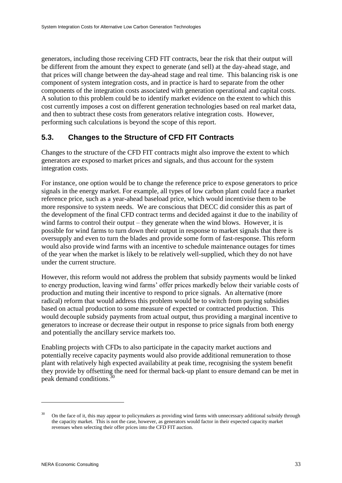generators, including those receiving CFD FIT contracts, bear the risk that their output will be different from the amount they expect to generate (and sell) at the day-ahead stage, and that prices will change between the day-ahead stage and real time. This balancing risk is one component of system integration costs, and in practice is hard to separate from the other components of the integration costs associated with generation operational and capital costs. A solution to this problem could be to identify market evidence on the extent to which this cost currently imposes a cost on different generation technologies based on real market data, and then to subtract these costs from generators relative integration costs. However, performing such calculations is beyond the scope of this report.

## **5.3. Changes to the Structure of CFD FIT Contracts**

Changes to the structure of the CFD FIT contracts might also improve the extent to which generators are exposed to market prices and signals, and thus account for the system integration costs.

For instance, one option would be to change the reference price to expose generators to price signals in the energy market. For example, all types of low carbon plant could face a market reference price, such as a year-ahead baseload price, which would incentivise them to be more responsive to system needs. We are conscious that DECC did consider this as part of the development of the final CFD contract terms and decided against it due to the inability of wind farms to control their output – they generate when the wind blows. However, it is possible for wind farms to turn down their output in response to market signals that there is oversupply and even to turn the blades and provide some form of fast-response. This reform would also provide wind farms with an incentive to schedule maintenance outages for times of the year when the market is likely to be relatively well-supplied, which they do not have under the current structure.

However, this reform would not address the problem that subsidy payments would be linked to energy production, leaving wind farms' offer prices markedly below their variable costs of production and muting their incentive to respond to price signals. An alternative (more radical) reform that would address this problem would be to switch from paying subsidies based on actual production to some measure of expected or contracted production. This would decouple subsidy payments from actual output, thus providing a marginal incentive to generators to increase or decrease their output in response to price signals from both energy and potentially the ancillary service markets too.

Enabling projects with CFDs to also participate in the capacity market auctions and potentially receive capacity payments would also provide additional remuneration to those plant with relatively high expected availability at peak time, recognising the system benefit they provide by offsetting the need for thermal back-up plant to ensure demand can be met in peak demand conditions.<sup>30</sup>

<sup>30</sup> On the face of it, this may appear to policymakers as providing wind farms with unnecessary additional subsidy through the capacity market. This is not the case, however, as generators would factor in their expected capacity market revenues when selecting their offer prices into the CFD FIT auction.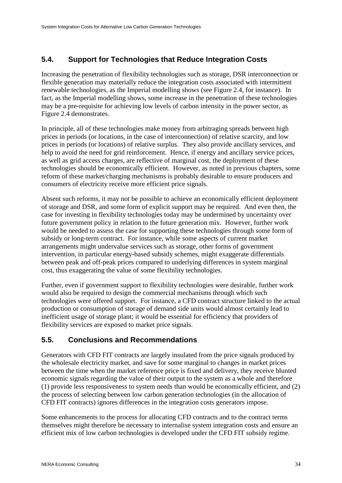# **5.4. Support for Technologies that Reduce Integration Costs**

Increasing the penetration of flexibility technologies such as storage, DSR interconnection or flexible generation may materially reduce the integration costs associated with intermittent renewable technologies, as the Imperial modelling shows (see [Figure 2.4,](#page-13-0) for instance). In fact, as the Imperial modelling shows, some increase in the penetration of these technologies may be a pre-requisite for achieving low levels of carbon intensity in the power sector, as [Figure 2.4](#page-13-0) demonstrates.

In principle, all of these technologies make money from arbitraging spreads between high prices in periods (or locations, in the case of interconnection) of relative scarcity, and low prices in periods (or locations) of relative surplus. They also provide ancillary services, and help to avoid the need for grid reinforcement. Hence, if energy and ancillary service prices, as well as grid access charges, are reflective of marginal cost, the deployment of these technologies should be economically efficient. However, as noted in previous chapters, some reform of these market/charging mechanisms is probably desirable to ensure producers and consumers of electricity receive more efficient price signals.

Absent such reforms, it may not be possible to achieve an economically efficient deployment of storage and DSR, and some form of explicit support may be required. And even then, the case for investing in flexibility technologies today may be undermined by uncertainty over future government policy in relation to the future generation mix. However, further work would be needed to assess the case for supporting these technologies through some form of subsidy or long-term contract. For instance, while some aspects of current market arrangements might undervalue services such as storage, other forms of government intervention, in particular energy-based subsidy schemes, might exaggerate differentials between peak and off-peak prices compared to underlying differences in system marginal cost, thus exaggerating the value of some flexibility technologies.

Further, even if government support to flexibility technologies were desirable, further work would also be required to design the commercial mechanisms through which such technologies were offered support. For instance, a CFD contract structure linked to the actual production or consumption of storage of demand side units would almost certainly lead to inefficient usage of storage plant; it would be essential for efficiency that providers of flexibility services are exposed to market price signals.

## **5.5. Conclusions and Recommendations**

Generators with CFD FIT contracts are largely insulated from the price signals produced by the wholesale electricity market, and save for some marginal to changes in market prices between the time when the market reference price is fixed and delivery, they receive blunted economic signals regarding the value of their output to the system as a whole and therefore (1) provide less responsiveness to system needs than would be economically efficient, and (2) the process of selecting between low carbon generation technologies (in the allocation of CFD FIT contracts) ignores differences in the integration costs generators impose.

Some enhancements to the process for allocating CFD contracts and to the contract terms themselves might therefore be necessary to internalise system integration costs and ensure an efficient mix of low carbon technologies is developed under the CFD FIT subsidy regime.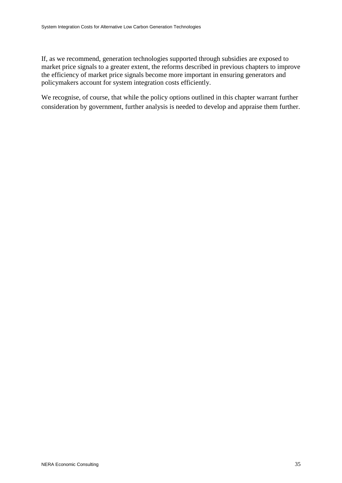If, as we recommend, generation technologies supported through subsidies are exposed to market price signals to a greater extent, the reforms described in previous chapters to improve the efficiency of market price signals become more important in ensuring generators and policymakers account for system integration costs efficiently.

We recognise, of course, that while the policy options outlined in this chapter warrant further consideration by government, further analysis is needed to develop and appraise them further.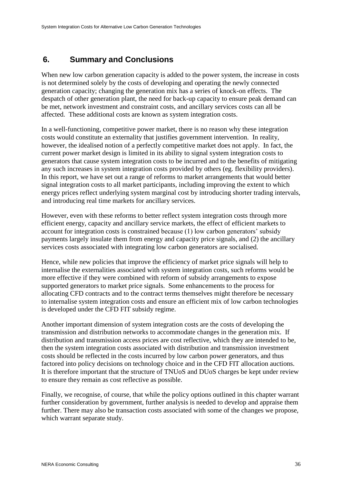# <span id="page-43-0"></span>**6. Summary and Conclusions**

When new low carbon generation capacity is added to the power system, the increase in costs is not determined solely by the costs of developing and operating the newly connected generation capacity; changing the generation mix has a series of knock-on effects. The despatch of other generation plant, the need for back-up capacity to ensure peak demand can be met, network investment and constraint costs, and ancillary services costs can all be affected. These additional costs are known as system integration costs.

In a well-functioning, competitive power market, there is no reason why these integration costs would constitute an externality that justifies government intervention. In reality, however, the idealised notion of a perfectly competitive market does not apply. In fact, the current power market design is limited in its ability to signal system integration costs to generators that cause system integration costs to be incurred and to the benefits of mitigating any such increases in system integration costs provided by others (eg. flexibility providers). In this report, we have set out a range of reforms to market arrangements that would better signal integration costs to all market participants, including improving the extent to which energy prices reflect underlying system marginal cost by introducing shorter trading intervals, and introducing real time markets for ancillary services.

However, even with these reforms to better reflect system integration costs through more efficient energy, capacity and ancillary service markets, the effect of efficient markets to account for integration costs is constrained because (1) low carbon generators' subsidy payments largely insulate them from energy and capacity price signals, and (2) the ancillary services costs associated with integrating low carbon generators are socialised.

Hence, while new policies that improve the efficiency of market price signals will help to internalise the externalities associated with system integration costs, such reforms would be more effective if they were combined with reform of subsidy arrangements to expose supported generators to market price signals. Some enhancements to the process for allocating CFD contracts and to the contract terms themselves might therefore be necessary to internalise system integration costs and ensure an efficient mix of low carbon technologies is developed under the CFD FIT subsidy regime.

Another important dimension of system integration costs are the costs of developing the transmission and distribution networks to accommodate changes in the generation mix. If distribution and transmission access prices are cost reflective, which they are intended to be, then the system integration costs associated with distribution and transmission investment costs should be reflected in the costs incurred by low carbon power generators, and thus factored into policy decisions on technology choice and in the CFD FIT allocation auctions. It is therefore important that the structure of TNUoS and DUoS charges be kept under review to ensure they remain as cost reflective as possible.

Finally, we recognise, of course, that while the policy options outlined in this chapter warrant further consideration by government, further analysis is needed to develop and appraise them further. There may also be transaction costs associated with some of the changes we propose, which warrant separate study.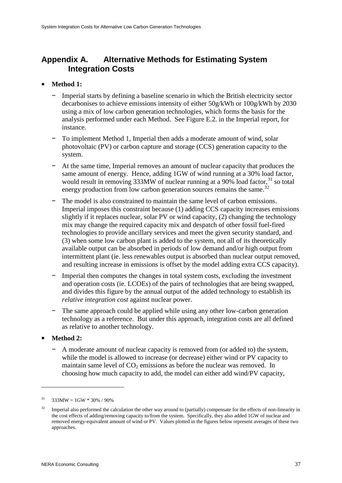# <span id="page-44-0"></span>**Appendix A. Alternative Methods for Estimating System Integration Costs**

#### **Method 1:**

- − Imperial starts by defining a baseline scenario in which the British electricity sector decarbonises to achieve emissions intensity of either 50g/kWh or 100g/kWh by 2030 using a mix of low carbon generation technologies, which forms the basis for the analysis performed under each Method. See Figure E.2. in the Imperial report, for instance.
- To implement Method 1, Imperial then adds a moderate amount of wind, solar photovoltaic (PV) or carbon capture and storage (CCS) generation capacity to the system.
- At the same time, Imperial removes an amount of nuclear capacity that produces the same amount of energy. Hence, adding 1GW of wind running at a 30% load factor, would result in removing 333MW of nuclear running at a 90% load factor.<sup>31</sup> so total energy production from low carbon generation sources remains the same. $32$
- The model is also constrained to maintain the same level of carbon emissions. Imperial imposes this constraint because (1) adding CCS capacity increases emissions slightly if it replaces nuclear, solar PV or wind capacity, (2) changing the technology mix may change the required capacity mix and despatch of other fossil fuel-fired technologies to provide ancillary services and meet the given security standard, and (3) when some low carbon plant is added to the system, not all of its theoretically available output can be absorbed in periods of low demand and/or high output from intermittent plant (ie. less renewables output is absorbed than nuclear output removed, and resulting increase in emissions is offset by the model adding extra CCS capacity).
- Imperial then computes the changes in total system costs, excluding the investment and operation costs (ie. LCOEs) of the pairs of technologies that are being swapped, and divides this figure by the annual output of the added technology to establish its *relative integration cost* against nuclear power.
- The same approach could be applied while using any other low-carbon generation technology as a reference. But under this approach, integration costs are all defined as relative to another technology.
- **Method 2:**

1

A moderate amount of nuclear capacity is removed from (or added to) the system, while the model is allowed to increase (or decrease) either wind or PV capacity to maintain same level of  $CO<sub>2</sub>$  emissions as before the nuclear was removed. In choosing how much capacity to add, the model can either add wind/PV capacity,

 $31$  333MW = 1GW \* 30% / 90%

<sup>&</sup>lt;sup>32</sup> Imperial also performed the calculation the other way around to (partially) compensate for the effects of non-linearity in the cost effects of adding/removing capacity to/from the system. Specifically, they also added 1GW of nuclear and removed energy-equivalent amount of wind or PV. Values plotted in the figures below represent averages of these two approaches.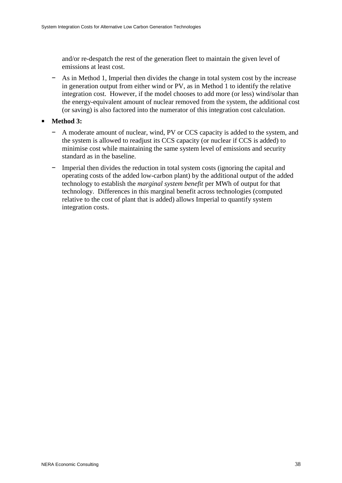and/or re-despatch the rest of the generation fleet to maintain the given level of emissions at least cost.

− As in Method 1, Imperial then divides the change in total system cost by the increase in generation output from either wind or PV, as in Method 1 to identify the relative integration cost. However, if the model chooses to add more (or less) wind/solar than the energy-equivalent amount of nuclear removed from the system, the additional cost (or saving) is also factored into the numerator of this integration cost calculation.

#### **Method 3:**

- A moderate amount of nuclear, wind, PV or CCS capacity is added to the system, and the system is allowed to readjust its CCS capacity (or nuclear if CCS is added) to minimise cost while maintaining the same system level of emissions and security standard as in the baseline.
- Imperial then divides the reduction in total system costs (ignoring the capital and operating costs of the added low-carbon plant) by the additional output of the added technology to establish the *marginal system benefit* per MWh of output for that technology. Differences in this marginal benefit across technologies (computed relative to the cost of plant that is added) allows Imperial to quantify system integration costs.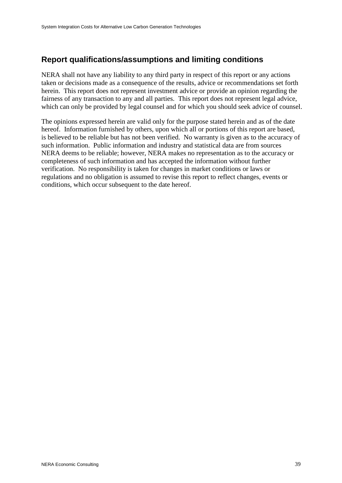# **Report qualifications/assumptions and limiting conditions**

NERA shall not have any liability to any third party in respect of this report or any actions taken or decisions made as a consequence of the results, advice or recommendations set forth herein. This report does not represent investment advice or provide an opinion regarding the fairness of any transaction to any and all parties. This report does not represent legal advice, which can only be provided by legal counsel and for which you should seek advice of counsel.

The opinions expressed herein are valid only for the purpose stated herein and as of the date hereof. Information furnished by others, upon which all or portions of this report are based, is believed to be reliable but has not been verified. No warranty is given as to the accuracy of such information. Public information and industry and statistical data are from sources NERA deems to be reliable; however, NERA makes no representation as to the accuracy or completeness of such information and has accepted the information without further verification. No responsibility is taken for changes in market conditions or laws or regulations and no obligation is assumed to revise this report to reflect changes, events or conditions, which occur subsequent to the date hereof.